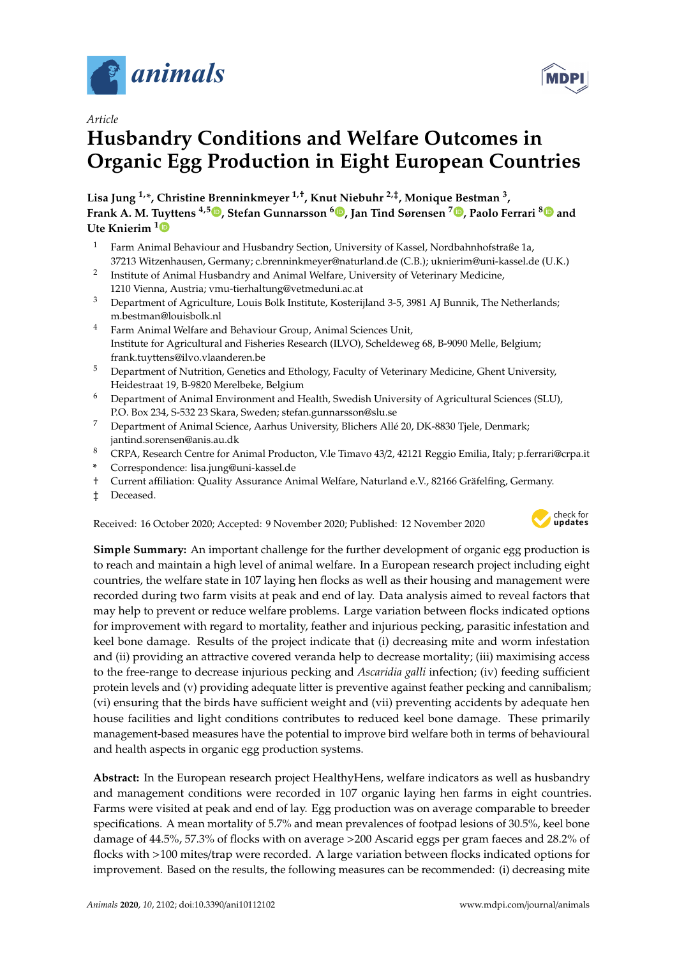



# **Husbandry Conditions and Welfare Outcomes in Organic Egg Production in Eight European Countries**

**Lisa Jung 1,\*, Christine Brenninkmeyer 1,**† **, Knut Niebuhr 2,**‡ **, Monique Bestman <sup>3</sup> , Frank A. M. Tuyttens 4,5 [,](https://orcid.org/0000-0002-1348-218X) Stefan Gunnarsson [6](https://orcid.org/0000-0002-9126-1905) , Jan Tind Sørensen <sup>7</sup> [,](https://orcid.org/0000-0002-5915-1474) Paolo Ferrari [8](https://orcid.org/0000-0002-9736-3443) and Ute Knierim [1](https://orcid.org/0000-0002-7705-3544)**

- <sup>1</sup> Farm Animal Behaviour and Husbandry Section, University of Kassel, Nordbahnhofstraße 1a, 37213 Witzenhausen, Germany; c.brenninkmeyer@naturland.de (C.B.); uknierim@uni-kassel.de (U.K.)
- 2 Institute of Animal Husbandry and Animal Welfare, University of Veterinary Medicine, 1210 Vienna, Austria; vmu-tierhaltung@vetmeduni.ac.at
- <sup>3</sup> Department of Agriculture, Louis Bolk Institute, Kosterijland 3-5, 3981 AJ Bunnik, The Netherlands; m.bestman@louisbolk.nl
- <sup>4</sup> Farm Animal Welfare and Behaviour Group, Animal Sciences Unit, Institute for Agricultural and Fisheries Research (ILVO), Scheldeweg 68, B-9090 Melle, Belgium; frank.tuyttens@ilvo.vlaanderen.be
- <sup>5</sup> Department of Nutrition, Genetics and Ethology, Faculty of Veterinary Medicine, Ghent University, Heidestraat 19, B-9820 Merelbeke, Belgium
- <sup>6</sup> Department of Animal Environment and Health, Swedish University of Agricultural Sciences (SLU), P.O. Box 234, S-532 23 Skara, Sweden; stefan.gunnarsson@slu.se
- <sup>7</sup> Department of Animal Science, Aarhus University, Blichers Allé 20, DK-8830 Tjele, Denmark; jantind.sorensen@anis.au.dk
- <sup>8</sup> CRPA, Research Centre for Animal Producton, V.le Timavo 43/2, 42121 Reggio Emilia, Italy; p.ferrari@crpa.it
- **\*** Correspondence: lisa.jung@uni-kassel.de
- † Current affiliation: Quality Assurance Animal Welfare, Naturland e.V., 82166 Gräfelfing, Germany.
- ‡ Deceased.

Received: 16 October 2020; Accepted: 9 November 2020; Published: 12 November 2020



**Simple Summary:** An important challenge for the further development of organic egg production is to reach and maintain a high level of animal welfare. In a European research project including eight countries, the welfare state in 107 laying hen flocks as well as their housing and management were recorded during two farm visits at peak and end of lay. Data analysis aimed to reveal factors that may help to prevent or reduce welfare problems. Large variation between flocks indicated options for improvement with regard to mortality, feather and injurious pecking, parasitic infestation and keel bone damage. Results of the project indicate that (i) decreasing mite and worm infestation and (ii) providing an attractive covered veranda help to decrease mortality; (iii) maximising access to the free-range to decrease injurious pecking and *Ascaridia galli* infection; (iv) feeding sufficient protein levels and (v) providing adequate litter is preventive against feather pecking and cannibalism; (vi) ensuring that the birds have sufficient weight and (vii) preventing accidents by adequate hen house facilities and light conditions contributes to reduced keel bone damage. These primarily management-based measures have the potential to improve bird welfare both in terms of behavioural and health aspects in organic egg production systems.

**Abstract:** In the European research project HealthyHens, welfare indicators as well as husbandry and management conditions were recorded in 107 organic laying hen farms in eight countries. Farms were visited at peak and end of lay. Egg production was on average comparable to breeder specifications. A mean mortality of 5.7% and mean prevalences of footpad lesions of 30.5%, keel bone damage of 44.5%, 57.3% of flocks with on average >200 Ascarid eggs per gram faeces and 28.2% of flocks with >100 mites/trap were recorded. A large variation between flocks indicated options for improvement. Based on the results, the following measures can be recommended: (i) decreasing mite

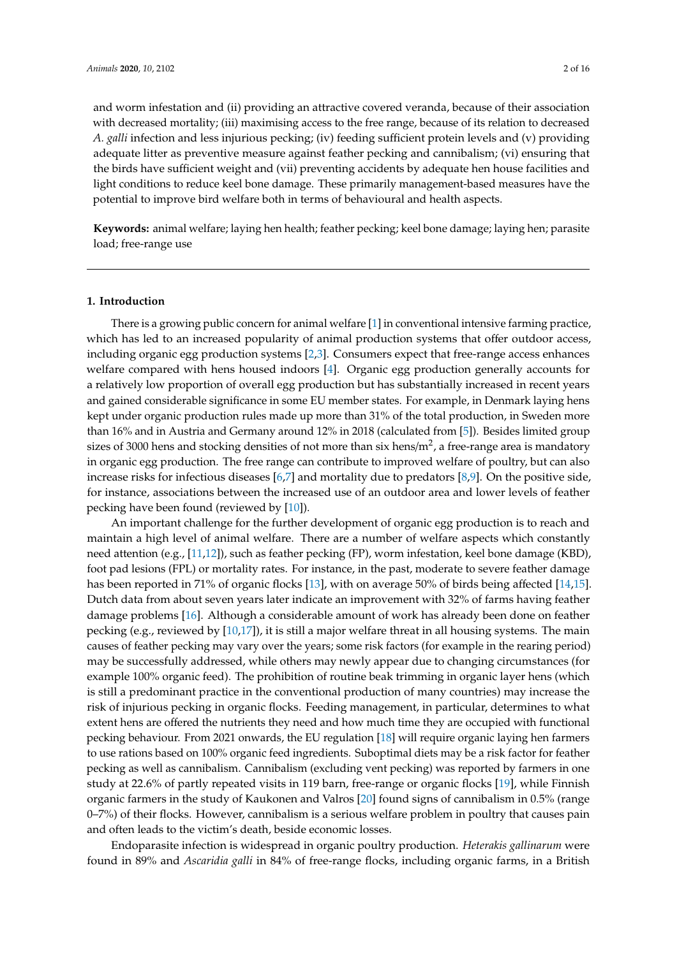and worm infestation and (ii) providing an attractive covered veranda, because of their association with decreased mortality; (iii) maximising access to the free range, because of its relation to decreased *A. galli* infection and less injurious pecking; (iv) feeding sufficient protein levels and (v) providing adequate litter as preventive measure against feather pecking and cannibalism; (vi) ensuring that the birds have sufficient weight and (vii) preventing accidents by adequate hen house facilities and light conditions to reduce keel bone damage. These primarily management-based measures have the potential to improve bird welfare both in terms of behavioural and health aspects.

**Keywords:** animal welfare; laying hen health; feather pecking; keel bone damage; laying hen; parasite load; free-range use

#### **1. Introduction**

There is a growing public concern for animal welfare [\[1\]](#page-12-0) in conventional intensive farming practice, which has led to an increased popularity of animal production systems that offer outdoor access, including organic egg production systems [\[2](#page-12-1)[,3\]](#page-12-2). Consumers expect that free-range access enhances welfare compared with hens housed indoors [\[4\]](#page-12-3). Organic egg production generally accounts for a relatively low proportion of overall egg production but has substantially increased in recent years and gained considerable significance in some EU member states. For example, in Denmark laying hens kept under organic production rules made up more than 31% of the total production, in Sweden more than 16% and in Austria and Germany around 12% in 2018 (calculated from [\[5\]](#page-12-4)). Besides limited group sizes of 3000 hens and stocking densities of not more than six hens/m<sup>2</sup>, a free-range area is mandatory in organic egg production. The free range can contribute to improved welfare of poultry, but can also increase risks for infectious diseases [\[6,](#page-12-5)[7\]](#page-12-6) and mortality due to predators [\[8,](#page-12-7)[9\]](#page-12-8). On the positive side, for instance, associations between the increased use of an outdoor area and lower levels of feather pecking have been found (reviewed by [\[10\]](#page-12-9)).

An important challenge for the further development of organic egg production is to reach and maintain a high level of animal welfare. There are a number of welfare aspects which constantly need attention (e.g., [\[11,](#page-12-10)[12\]](#page-12-11)), such as feather pecking (FP), worm infestation, keel bone damage (KBD), foot pad lesions (FPL) or mortality rates. For instance, in the past, moderate to severe feather damage has been reported in 71% of organic flocks [\[13\]](#page-12-12), with on average 50% of birds being affected [\[14,](#page-12-13)[15\]](#page-13-0). Dutch data from about seven years later indicate an improvement with 32% of farms having feather damage problems [\[16\]](#page-13-1). Although a considerable amount of work has already been done on feather pecking (e.g., reviewed by [\[10](#page-12-9)[,17\]](#page-13-2)), it is still a major welfare threat in all housing systems. The main causes of feather pecking may vary over the years; some risk factors (for example in the rearing period) may be successfully addressed, while others may newly appear due to changing circumstances (for example 100% organic feed). The prohibition of routine beak trimming in organic layer hens (which is still a predominant practice in the conventional production of many countries) may increase the risk of injurious pecking in organic flocks. Feeding management, in particular, determines to what extent hens are offered the nutrients they need and how much time they are occupied with functional pecking behaviour. From 2021 onwards, the EU regulation [\[18\]](#page-13-3) will require organic laying hen farmers to use rations based on 100% organic feed ingredients. Suboptimal diets may be a risk factor for feather pecking as well as cannibalism. Cannibalism (excluding vent pecking) was reported by farmers in one study at 22.6% of partly repeated visits in 119 barn, free-range or organic flocks [\[19\]](#page-13-4), while Finnish organic farmers in the study of Kaukonen and Valros [\[20\]](#page-13-5) found signs of cannibalism in 0.5% (range 0–7%) of their flocks. However, cannibalism is a serious welfare problem in poultry that causes pain and often leads to the victim's death, beside economic losses.

Endoparasite infection is widespread in organic poultry production. *Heterakis gallinarum* were found in 89% and *Ascaridia galli* in 84% of free-range flocks, including organic farms, in a British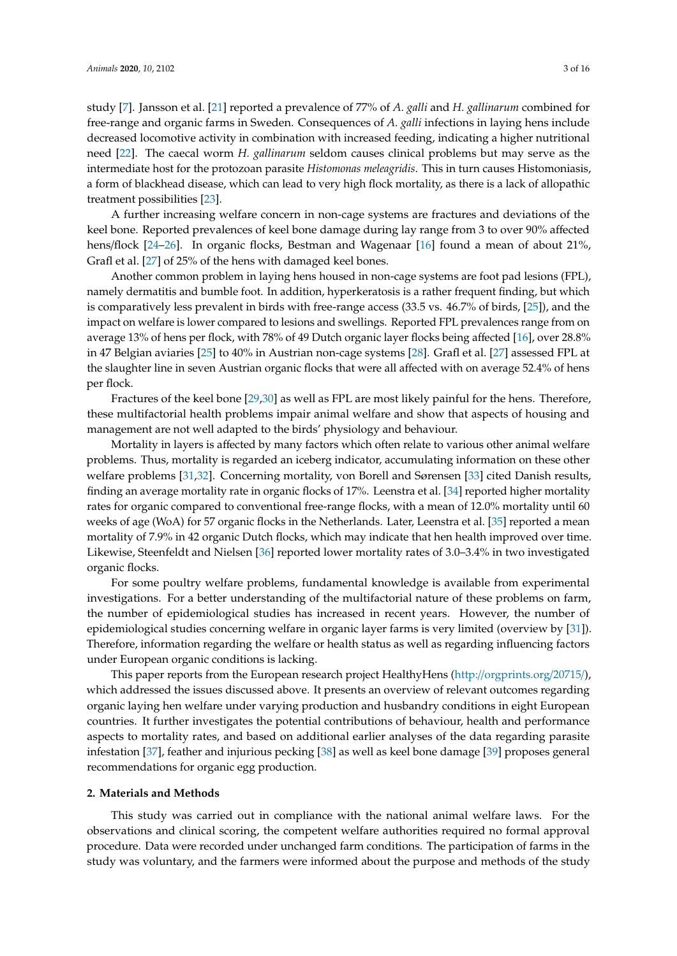study [\[7\]](#page-12-6). Jansson et al. [\[21\]](#page-13-6) reported a prevalence of 77% of *A. galli* and *H. gallinarum* combined for free-range and organic farms in Sweden. Consequences of *A. galli* infections in laying hens include decreased locomotive activity in combination with increased feeding, indicating a higher nutritional need [\[22\]](#page-13-7). The caecal worm *H. gallinarum* seldom causes clinical problems but may serve as the intermediate host for the protozoan parasite *Histomonas meleagridis*. This in turn causes Histomoniasis, a form of blackhead disease, which can lead to very high flock mortality, as there is a lack of allopathic treatment possibilities [\[23\]](#page-13-8).

A further increasing welfare concern in non-cage systems are fractures and deviations of the keel bone. Reported prevalences of keel bone damage during lay range from 3 to over 90% affected hens/flock [\[24–](#page-13-9)[26\]](#page-13-10). In organic flocks, Bestman and Wagenaar [\[16\]](#page-13-1) found a mean of about 21%, Grafl et al. [\[27\]](#page-13-11) of 25% of the hens with damaged keel bones.

Another common problem in laying hens housed in non-cage systems are foot pad lesions (FPL), namely dermatitis and bumble foot. In addition, hyperkeratosis is a rather frequent finding, but which is comparatively less prevalent in birds with free-range access (33.5 vs. 46.7% of birds, [\[25\]](#page-13-12)), and the impact on welfare is lower compared to lesions and swellings. Reported FPL prevalences range from on average 13% of hens per flock, with 78% of 49 Dutch organic layer flocks being affected [\[16\]](#page-13-1), over 28.8% in 47 Belgian aviaries [\[25\]](#page-13-12) to 40% in Austrian non-cage systems [\[28\]](#page-13-13). Grafl et al. [\[27\]](#page-13-11) assessed FPL at the slaughter line in seven Austrian organic flocks that were all affected with on average 52.4% of hens per flock.

Fractures of the keel bone [\[29,](#page-13-14)[30\]](#page-13-15) as well as FPL are most likely painful for the hens. Therefore, these multifactorial health problems impair animal welfare and show that aspects of housing and management are not well adapted to the birds' physiology and behaviour.

Mortality in layers is affected by many factors which often relate to various other animal welfare problems. Thus, mortality is regarded an iceberg indicator, accumulating information on these other welfare problems [\[31](#page-13-16)[,32\]](#page-13-17). Concerning mortality, von Borell and Sørensen [\[33\]](#page-13-18) cited Danish results, finding an average mortality rate in organic flocks of 17%. Leenstra et al. [\[34\]](#page-14-0) reported higher mortality rates for organic compared to conventional free-range flocks, with a mean of 12.0% mortality until 60 weeks of age (WoA) for 57 organic flocks in the Netherlands. Later, Leenstra et al. [\[35\]](#page-14-1) reported a mean mortality of 7.9% in 42 organic Dutch flocks, which may indicate that hen health improved over time. Likewise, Steenfeldt and Nielsen [\[36\]](#page-14-2) reported lower mortality rates of 3.0–3.4% in two investigated organic flocks.

For some poultry welfare problems, fundamental knowledge is available from experimental investigations. For a better understanding of the multifactorial nature of these problems on farm, the number of epidemiological studies has increased in recent years. However, the number of epidemiological studies concerning welfare in organic layer farms is very limited (overview by [\[31\]](#page-13-16)). Therefore, information regarding the welfare or health status as well as regarding influencing factors under European organic conditions is lacking.

This paper reports from the European research project HealthyHens (http://[orgprints.org](http://orgprints.org/20715/)/20715/), which addressed the issues discussed above. It presents an overview of relevant outcomes regarding organic laying hen welfare under varying production and husbandry conditions in eight European countries. It further investigates the potential contributions of behaviour, health and performance aspects to mortality rates, and based on additional earlier analyses of the data regarding parasite infestation [\[37\]](#page-14-3), feather and injurious pecking [\[38\]](#page-14-4) as well as keel bone damage [\[39\]](#page-14-5) proposes general recommendations for organic egg production.

#### **2. Materials and Methods**

This study was carried out in compliance with the national animal welfare laws. For the observations and clinical scoring, the competent welfare authorities required no formal approval procedure. Data were recorded under unchanged farm conditions. The participation of farms in the study was voluntary, and the farmers were informed about the purpose and methods of the study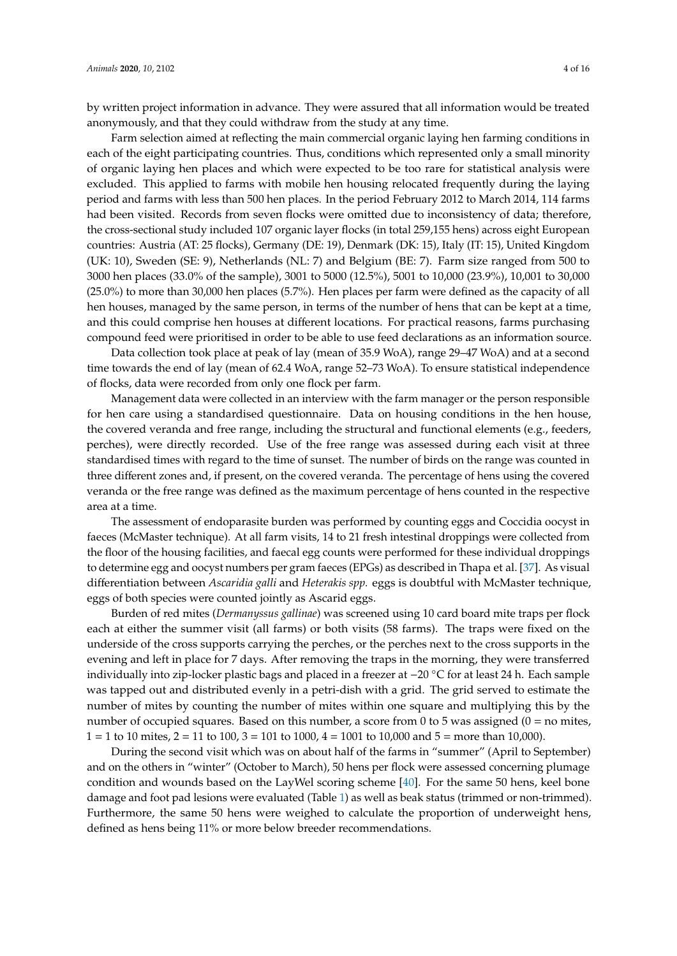by written project information in advance. They were assured that all information would be treated anonymously, and that they could withdraw from the study at any time.

Farm selection aimed at reflecting the main commercial organic laying hen farming conditions in each of the eight participating countries. Thus, conditions which represented only a small minority of organic laying hen places and which were expected to be too rare for statistical analysis were excluded. This applied to farms with mobile hen housing relocated frequently during the laying period and farms with less than 500 hen places. In the period February 2012 to March 2014, 114 farms had been visited. Records from seven flocks were omitted due to inconsistency of data; therefore, the cross-sectional study included 107 organic layer flocks (in total 259,155 hens) across eight European countries: Austria (AT: 25 flocks), Germany (DE: 19), Denmark (DK: 15), Italy (IT: 15), United Kingdom (UK: 10), Sweden (SE: 9), Netherlands (NL: 7) and Belgium (BE: 7). Farm size ranged from 500 to 3000 hen places (33.0% of the sample), 3001 to 5000 (12.5%), 5001 to 10,000 (23.9%), 10,001 to 30,000 (25.0%) to more than 30,000 hen places (5.7%). Hen places per farm were defined as the capacity of all hen houses, managed by the same person, in terms of the number of hens that can be kept at a time, and this could comprise hen houses at different locations. For practical reasons, farms purchasing compound feed were prioritised in order to be able to use feed declarations as an information source.

Data collection took place at peak of lay (mean of 35.9 WoA), range 29–47 WoA) and at a second time towards the end of lay (mean of 62.4 WoA, range 52–73 WoA). To ensure statistical independence of flocks, data were recorded from only one flock per farm.

Management data were collected in an interview with the farm manager or the person responsible for hen care using a standardised questionnaire. Data on housing conditions in the hen house, the covered veranda and free range, including the structural and functional elements (e.g., feeders, perches), were directly recorded. Use of the free range was assessed during each visit at three standardised times with regard to the time of sunset. The number of birds on the range was counted in three different zones and, if present, on the covered veranda. The percentage of hens using the covered veranda or the free range was defined as the maximum percentage of hens counted in the respective area at a time.

The assessment of endoparasite burden was performed by counting eggs and Coccidia oocyst in faeces (McMaster technique). At all farm visits, 14 to 21 fresh intestinal droppings were collected from the floor of the housing facilities, and faecal egg counts were performed for these individual droppings to determine egg and oocyst numbers per gram faeces (EPGs) as described in Thapa et al. [\[37\]](#page-14-3). As visual differentiation between *Ascaridia galli* and *Heterakis spp.* eggs is doubtful with McMaster technique, eggs of both species were counted jointly as Ascarid eggs.

Burden of red mites (*Dermanyssus gallinae*) was screened using 10 card board mite traps per flock each at either the summer visit (all farms) or both visits (58 farms). The traps were fixed on the underside of the cross supports carrying the perches, or the perches next to the cross supports in the evening and left in place for 7 days. After removing the traps in the morning, they were transferred individually into zip-locker plastic bags and placed in a freezer at −<sup>20</sup> ◦C for at least 24 h. Each sample was tapped out and distributed evenly in a petri-dish with a grid. The grid served to estimate the number of mites by counting the number of mites within one square and multiplying this by the number of occupied squares. Based on this number, a score from 0 to 5 was assigned ( $0 =$  no mites,  $1 = 1$  to 10 mites,  $2 = 11$  to 100,  $3 = 101$  to 1000,  $4 = 1001$  to 10,000 and  $5 =$  more than 10,000).

During the second visit which was on about half of the farms in "summer" (April to September) and on the others in "winter" (October to March), 50 hens per flock were assessed concerning plumage condition and wounds based on the LayWel scoring scheme [\[40\]](#page-14-6). For the same 50 hens, keel bone damage and foot pad lesions were evaluated (Table [1\)](#page-4-0) as well as beak status (trimmed or non-trimmed). Furthermore, the same 50 hens were weighed to calculate the proportion of underweight hens, defined as hens being 11% or more below breeder recommendations.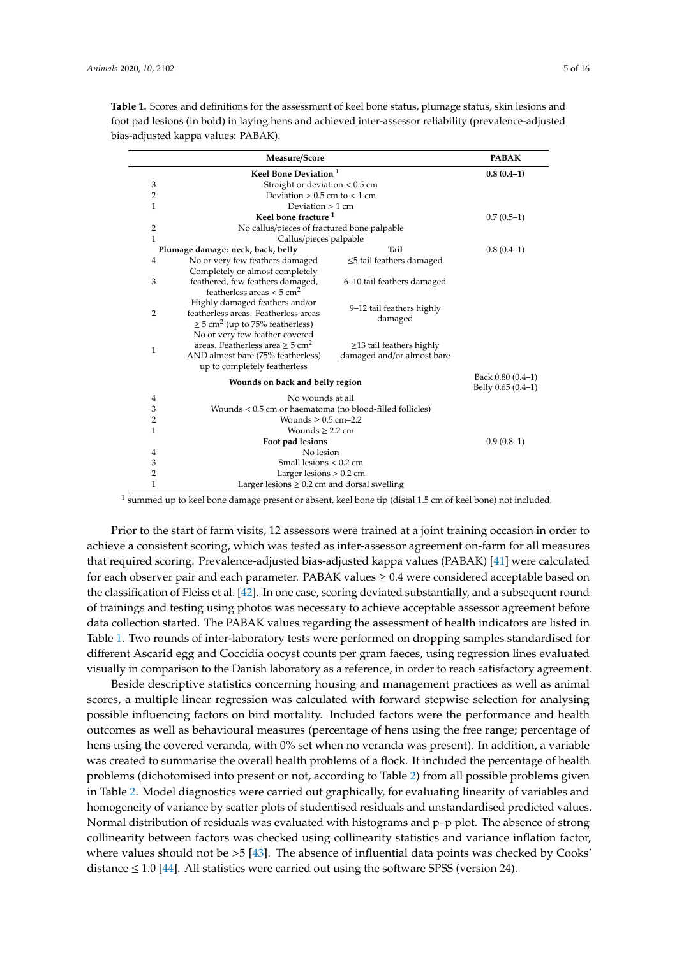|                | Measure/Score                                                                                                                                        |                                                              | <b>PABAK</b>                            |
|----------------|------------------------------------------------------------------------------------------------------------------------------------------------------|--------------------------------------------------------------|-----------------------------------------|
|                | Keel Bone Deviation <sup>1</sup>                                                                                                                     |                                                              |                                         |
| 3              | Straight or deviation $< 0.5$ cm                                                                                                                     |                                                              |                                         |
| $\overline{2}$ | Deviation $> 0.5$ cm to $< 1$ cm                                                                                                                     |                                                              |                                         |
| 1              | Deviation $> 1$ cm                                                                                                                                   |                                                              |                                         |
|                | Keel bone fracture <sup>1</sup>                                                                                                                      |                                                              | $0.7(0.5-1)$                            |
| $\overline{2}$ | No callus/pieces of fractured bone palpable                                                                                                          |                                                              |                                         |
| 1              | Callus/pieces palpable                                                                                                                               |                                                              |                                         |
|                | Plumage damage: neck, back, belly                                                                                                                    | <b>Tail</b>                                                  | $0.8(0.4-1)$                            |
| 4              | No or very few feathers damaged                                                                                                                      | $\leq$ 5 tail feathers damaged                               |                                         |
| 3              | Completely or almost completely<br>feathered, few feathers damaged,<br>featherless areas $< 5 cm2$                                                   | 6-10 tail feathers damaged                                   |                                         |
| $\overline{2}$ | Highly damaged feathers and/or<br>featherless areas. Featherless areas<br>$\geq$ 5 cm <sup>2</sup> (up to 75% featherless)                           | 9-12 tail feathers highly<br>damaged                         |                                         |
| $\mathbf{1}$   | No or very few feather-covered<br>areas. Featherless area $>$ 5 cm <sup>2</sup><br>AND almost bare (75% featherless)<br>up to completely featherless | $\geq$ 13 tail feathers highly<br>damaged and/or almost bare |                                         |
|                | Wounds on back and belly region                                                                                                                      |                                                              | Back 0.80 (0.4-1)<br>Belly 0.65 (0.4-1) |
| 4              | No wounds at all                                                                                                                                     |                                                              |                                         |
| 3              | Wounds < 0.5 cm or haematoma (no blood-filled follicles)                                                                                             |                                                              |                                         |
| $\overline{2}$ | Wounds $> 0.5$ cm $-2.2$                                                                                                                             |                                                              |                                         |
| $\mathbf{1}$   | Wounds $\geq$ 2.2 cm                                                                                                                                 |                                                              |                                         |
|                | Foot pad lesions                                                                                                                                     |                                                              | $0.9(0.8-1)$                            |
| 4              | No lesion                                                                                                                                            |                                                              |                                         |
| 3              | Small lesions $< 0.2$ cm                                                                                                                             |                                                              |                                         |
| $\overline{2}$ | Larger lesions $> 0.2$ cm                                                                                                                            |                                                              |                                         |
| 1              | Larger lesions $\geq 0.2$ cm and dorsal swelling                                                                                                     |                                                              |                                         |

<span id="page-4-0"></span>**Table 1.** Scores and definitions for the assessment of keel bone status, plumage status, skin lesions and foot pad lesions (in bold) in laying hens and achieved inter-assessor reliability (prevalence-adjusted bias-adjusted kappa values: PABAK).

 $^1$  summed up to keel bone damage present or absent, keel bone tip (distal 1.5 cm of keel bone) not included.

Prior to the start of farm visits, 12 assessors were trained at a joint training occasion in order to achieve a consistent scoring, which was tested as inter-assessor agreement on-farm for all measures that required scoring. Prevalence-adjusted bias-adjusted kappa values (PABAK) [\[41\]](#page-14-7) were calculated for each observer pair and each parameter. PABAK values  $\geq 0.4$  were considered acceptable based on the classification of Fleiss et al. [\[42\]](#page-14-8). In one case, scoring deviated substantially, and a subsequent round of trainings and testing using photos was necessary to achieve acceptable assessor agreement before data collection started. The PABAK values regarding the assessment of health indicators are listed in Table [1.](#page-4-0) Two rounds of inter-laboratory tests were performed on dropping samples standardised for different Ascarid egg and Coccidia oocyst counts per gram faeces, using regression lines evaluated visually in comparison to the Danish laboratory as a reference, in order to reach satisfactory agreement.

Beside descriptive statistics concerning housing and management practices as well as animal scores, a multiple linear regression was calculated with forward stepwise selection for analysing possible influencing factors on bird mortality. Included factors were the performance and health outcomes as well as behavioural measures (percentage of hens using the free range; percentage of hens using the covered veranda, with 0% set when no veranda was present). In addition, a variable was created to summarise the overall health problems of a flock. It included the percentage of health problems (dichotomised into present or not, according to Table [2\)](#page-5-0) from all possible problems given in Table [2.](#page-5-0) Model diagnostics were carried out graphically, for evaluating linearity of variables and homogeneity of variance by scatter plots of studentised residuals and unstandardised predicted values. Normal distribution of residuals was evaluated with histograms and p–p plot. The absence of strong collinearity between factors was checked using collinearity statistics and variance inflation factor, where values should not be >5 [\[43\]](#page-14-9). The absence of influential data points was checked by Cooks' distance  $\leq 1.0$  [\[44\]](#page-14-10). All statistics were carried out using the software SPSS (version 24).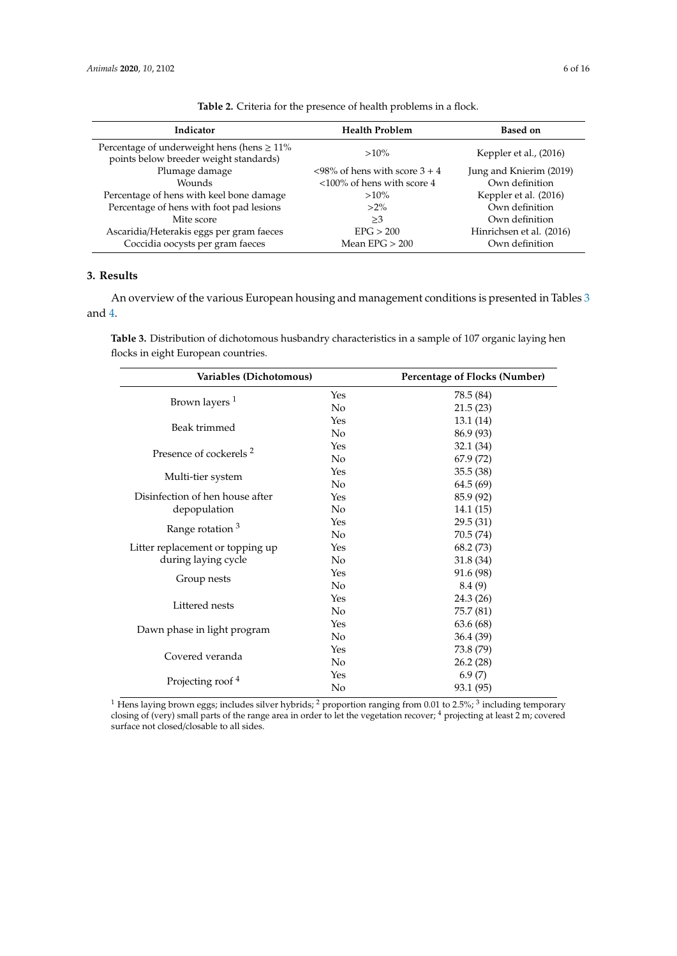<span id="page-5-0"></span>

| Indicator                                                                                  | <b>Health Problem</b>                           | <b>Based on</b>          |
|--------------------------------------------------------------------------------------------|-------------------------------------------------|--------------------------|
| Percentage of underweight hens (hens $\geq 11\%$<br>points below breeder weight standards) | $>10\%$                                         | Keppler et al., (2016)   |
| Plumage damage                                                                             | $\langle 98\% \rangle$ of hens with score 3 + 4 | Jung and Knierim (2019)  |
| Wounds                                                                                     | $<100\%$ of hens with score 4                   | Own definition           |
| Percentage of hens with keel bone damage                                                   | $>10\%$                                         | Keppler et al. (2016)    |
| Percentage of hens with foot pad lesions                                                   | $>2\%$                                          | Own definition           |
| Mite score                                                                                 | >3                                              | Own definition           |
| Ascaridia/Heterakis eggs per gram faeces                                                   | EPG > 200                                       | Hinrichsen et al. (2016) |
| Coccidia oocysts per gram faeces                                                           | Mean $EPG > 200$                                | Own definition           |

**Table 2.** Criteria for the presence of health problems in a flock.

## **3. Results**

An overview of the various European housing and management conditions is presented in Tables [3](#page-5-1) and [4.](#page-6-0)

<span id="page-5-1"></span>**Table 3.** Distribution of dichotomous husbandry characteristics in a sample of 107 organic laying hen flocks in eight European countries.

| Variables (Dichotomous)            | Percentage of Flocks (Number) |           |
|------------------------------------|-------------------------------|-----------|
|                                    | Yes                           | 78.5 (84) |
| Brown layers <sup>1</sup>          | No                            | 21.5(23)  |
|                                    | Yes                           | 13.1(14)  |
| Beak trimmed                       | No                            | 86.9 (93) |
|                                    | Yes                           | 32.1 (34) |
| Presence of cockerels <sup>2</sup> | N <sub>o</sub>                | 67.9 (72) |
| Multi-tier system                  | Yes                           | 35.5(38)  |
|                                    | No                            | 64.5 (69) |
| Disinfection of hen house after    | Yes                           | 85.9 (92) |
| depopulation                       | N <sub>o</sub>                | 14.1(15)  |
| Range rotation <sup>3</sup>        | Yes                           | 29.5(31)  |
|                                    | No                            | 70.5 (74) |
| Litter replacement or topping up   | Yes                           | 68.2 (73) |
| during laying cycle                | N <sub>o</sub>                | 31.8 (34) |
| Group nests                        | Yes                           | 91.6 (98) |
|                                    | No                            | 8.4(9)    |
|                                    | Yes                           | 24.3 (26) |
| Littered nests                     | No                            | 75.7 (81) |
| Dawn phase in light program        | Yes                           | 63.6 (68) |
|                                    | N <sub>o</sub>                | 36.4 (39) |
| Covered veranda                    | Yes                           | 73.8 (79) |
|                                    | N <sub>o</sub>                | 26.2 (28) |
|                                    | Yes                           | 6.9(7)    |
| Projecting roof <sup>4</sup>       | No                            | 93.1 (95) |

 $^1$  Hens laying brown eggs; includes silver hybrids;  $^2$  proportion ranging from 0.01 to 2.5%;  $^3$  including temporary closing of (very) small parts of the range area in order to let the vegetation recover; <sup>4</sup> projecting at least 2 m; covered surface not closed/closable to all sides.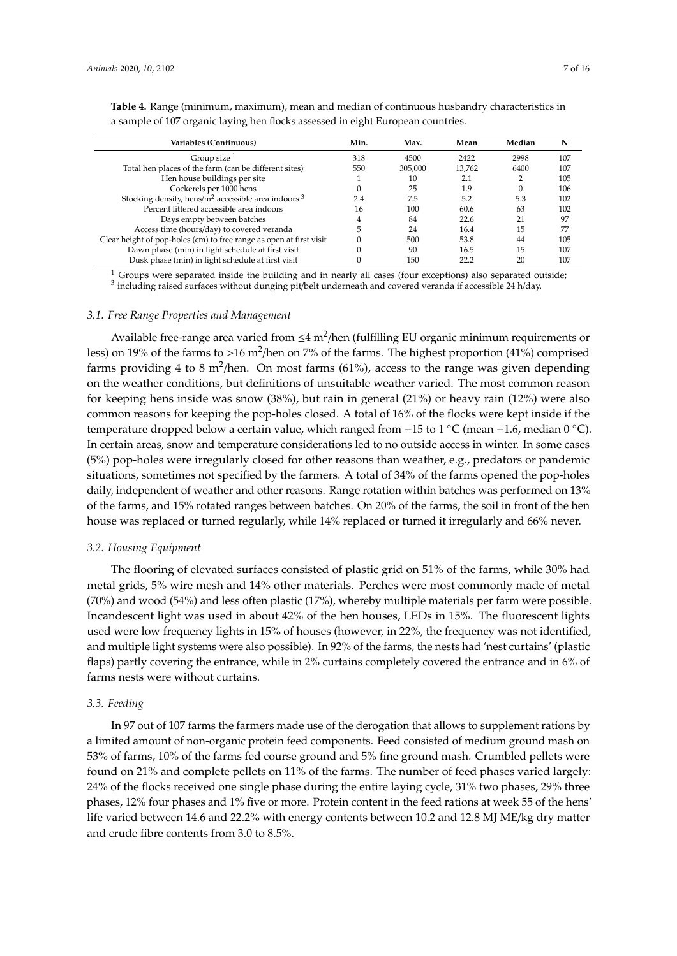| Variables (Continuous)                                              | Min. | Max.    | Mean   | Median | N   |
|---------------------------------------------------------------------|------|---------|--------|--------|-----|
| Group size $1$                                                      | 318  | 4500    | 2422   | 2998   | 107 |
| Total hen places of the farm (can be different sites)               | 550  | 305,000 | 13.762 | 6400   | 107 |
| Hen house buildings per site                                        |      | 10      | 2.1    |        | 105 |
| Cockerels per 1000 hens                                             | 0    | 25      | 1.9    |        | 106 |
| Stocking density, hens/ $m2$ accessible area indoors $3$            | 2.4  | 7.5     | 5.2    | 5.3    | 102 |
| Percent littered accessible area indoors                            | 16   | 100     | 60.6   | 63     | 102 |
| Days empty between batches                                          | 4    | 84      | 22.6   | 21     | 97  |
| Access time (hours/day) to covered veranda                          | 5    | 24      | 16.4   | 15     | 77  |
| Clear height of pop-holes (cm) to free range as open at first visit |      | 500     | 53.8   | 44     | 105 |
| Dawn phase (min) in light schedule at first visit                   | 0    | 90      | 16.5   | 15     | 107 |
| Dusk phase (min) in light schedule at first visit                   |      | 150     | 22.2   | 20     | 107 |

<span id="page-6-0"></span>**Table 4.** Range (minimum, maximum), mean and median of continuous husbandry characteristics in a sample of 107 organic laying hen flocks assessed in eight European countries.

<sup>1</sup> Groups were separated inside the building and in nearly all cases (four exceptions) also separated outside;  $^3$  including raised surfaces without dunging pit/belt underneath and covered veranda if accessible 24 h/day.

#### *3.1. Free Range Properties and Management*

Available free-range area varied from  $\leq$ 4 m<sup>2</sup>/hen (fulfilling EU organic minimum requirements or less) on 19% of the farms to >16 m<sup>2</sup>/hen on 7% of the farms. The highest proportion (41%) comprised farms providing 4 to 8 m<sup>2</sup>/hen. On most farms (61%), access to the range was given depending on the weather conditions, but definitions of unsuitable weather varied. The most common reason for keeping hens inside was snow (38%), but rain in general (21%) or heavy rain (12%) were also common reasons for keeping the pop-holes closed. A total of 16% of the flocks were kept inside if the temperature dropped below a certain value, which ranged from −15 to 1 ◦C (mean −1.6, median 0 ◦C). In certain areas, snow and temperature considerations led to no outside access in winter. In some cases (5%) pop-holes were irregularly closed for other reasons than weather, e.g., predators or pandemic situations, sometimes not specified by the farmers. A total of 34% of the farms opened the pop-holes daily, independent of weather and other reasons. Range rotation within batches was performed on 13% of the farms, and 15% rotated ranges between batches. On 20% of the farms, the soil in front of the hen house was replaced or turned regularly, while 14% replaced or turned it irregularly and 66% never.

## *3.2. Housing Equipment*

The flooring of elevated surfaces consisted of plastic grid on 51% of the farms, while 30% had metal grids, 5% wire mesh and 14% other materials. Perches were most commonly made of metal (70%) and wood (54%) and less often plastic (17%), whereby multiple materials per farm were possible. Incandescent light was used in about 42% of the hen houses, LEDs in 15%. The fluorescent lights used were low frequency lights in 15% of houses (however, in 22%, the frequency was not identified, and multiple light systems were also possible). In 92% of the farms, the nests had 'nest curtains' (plastic flaps) partly covering the entrance, while in 2% curtains completely covered the entrance and in 6% of farms nests were without curtains.

## *3.3. Feeding*

In 97 out of 107 farms the farmers made use of the derogation that allows to supplement rations by a limited amount of non-organic protein feed components. Feed consisted of medium ground mash on 53% of farms, 10% of the farms fed course ground and 5% fine ground mash. Crumbled pellets were found on 21% and complete pellets on 11% of the farms. The number of feed phases varied largely: 24% of the flocks received one single phase during the entire laying cycle, 31% two phases, 29% three phases, 12% four phases and 1% five or more. Protein content in the feed rations at week 55 of the hens' life varied between 14.6 and 22.2% with energy contents between 10.2 and 12.8 MJ ME/kg dry matter and crude fibre contents from 3.0 to 8.5%.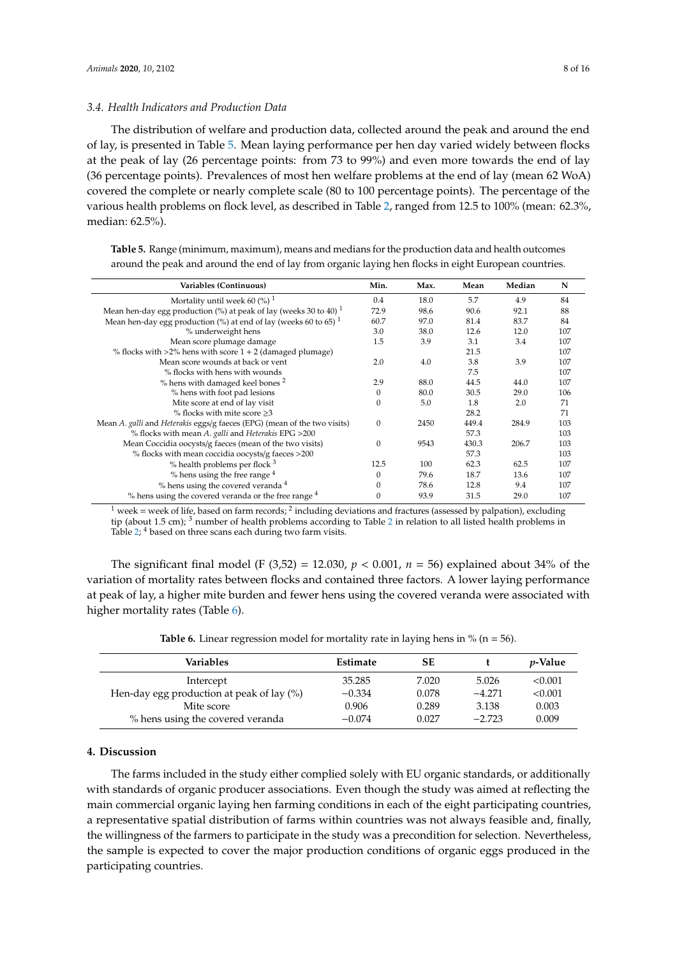## *3.4. Health Indicators and Production Data*

The distribution of welfare and production data, collected around the peak and around the end of lay, is presented in Table [5.](#page-7-0) Mean laying performance per hen day varied widely between flocks at the peak of lay (26 percentage points: from 73 to 99%) and even more towards the end of lay (36 percentage points). Prevalences of most hen welfare problems at the end of lay (mean 62 WoA) covered the complete or nearly complete scale (80 to 100 percentage points). The percentage of the various health problems on flock level, as described in Table [2,](#page-5-0) ranged from 12.5 to 100% (mean: 62.3%, median: 62.5%).

<span id="page-7-0"></span>

| Table 5. Range (minimum, maximum), means and medians for the production data and health outcomes      |  |  |  |
|-------------------------------------------------------------------------------------------------------|--|--|--|
| around the peak and around the end of lay from organic laying hen flocks in eight European countries. |  |  |  |

| Variables (Continuous)                                                                 | Min.         | Max. | Mean  | Median | N   |
|----------------------------------------------------------------------------------------|--------------|------|-------|--------|-----|
| Mortality until week 60 $\left(\% \right)$ <sup>1</sup>                                | 0.4          | 18.0 | 5.7   | 4.9    | 84  |
| Mean hen-day egg production $\frac{6}{6}$ at peak of lay (weeks 30 to 40) <sup>1</sup> | 72.9         | 98.6 | 90.6  | 92.1   | 88  |
| Mean hen-day egg production (%) at end of lay (weeks 60 to 65) $^1$                    | 60.7         | 97.0 | 81.4  | 83.7   | 84  |
| % underweight hens                                                                     | 3.0          | 38.0 | 12.6  | 12.0   | 107 |
| Mean score plumage damage                                                              | 1.5          | 3.9  | 3.1   | 3.4    | 107 |
| % flocks with $>2\%$ hens with score 1 + 2 (damaged plumage)                           |              |      | 21.5  |        | 107 |
| Mean score wounds at back or yent                                                      | 2.0          | 4.0  | 3.8   | 3.9    | 107 |
| % flocks with hens with wounds                                                         |              |      | 7.5   |        | 107 |
| % hens with damaged keel bones <sup>2</sup>                                            | 2.9          | 88.0 | 44.5  | 44.0   | 107 |
| % hens with foot pad lesions                                                           | $\bf{0}$     | 80.0 | 30.5  | 29.0   | 106 |
| Mite score at end of lay visit                                                         | $\Omega$     | 5.0  | 1.8   | 2.0    | 71  |
| % flocks with mite score $>3$                                                          |              |      | 28.2  |        | 71  |
| Mean A. galli and Heterakis eggs/g faeces (EPG) (mean of the two visits)               | $\mathbf{0}$ | 2450 | 449.4 | 284.9  | 103 |
| % flocks with mean A. galli and Heterakis EPG > 200                                    |              |      | 57.3  |        | 103 |
| Mean Coccidia oocysts/g faeces (mean of the two visits)                                | $\Omega$     | 9543 | 430.3 | 206.7  | 103 |
| % flocks with mean coccidia oocysts/g faeces >200                                      |              |      | 57.3  |        | 103 |
| % health problems per flock $3$                                                        | 12.5         | 100  | 62.3  | 62.5   | 107 |
| % hens using the free range $4$                                                        | $\Omega$     | 79.6 | 18.7  | 13.6   | 107 |
| % hens using the covered veranda <sup>4</sup>                                          | $\Omega$     | 78.6 | 12.8  | 9.4    | 107 |
| % hens using the covered veranda or the free range 4                                   | $\Omega$     | 93.9 | 31.5  | 29.0   | 107 |

 $^1$  week = week of life, based on farm records;  $^2$  including deviations and fractures (assessed by palpation), excluding tip (about 1.5 cm); <sup>3</sup> number of health problems according to Table [2](#page-5-0) in relation to all listed health problems in Table  $2$ ; <sup>4</sup> based on three scans each during two farm visits.

The significant final model (F  $(3,52) = 12.030$ ,  $p < 0.001$ ,  $n = 56$ ) explained about 34% of the variation of mortality rates between flocks and contained three factors. A lower laying performance at peak of lay, a higher mite burden and fewer hens using the covered veranda were associated with higher mortality rates (Table [6\)](#page-7-1).

**Table 6.** Linear regression model for mortality rate in laying hens in % ( $n = 56$ ).

<span id="page-7-1"></span>

| Variables                                    | Estimate | <b>SE</b> |          | <i>v</i> -Value |
|----------------------------------------------|----------|-----------|----------|-----------------|
| Intercept                                    | 35.285   | 7.020     | 5.026    | < 0.001         |
| Hen-day egg production at peak of lay $(\%)$ | $-0.334$ | 0.078     | $-4.271$ | < 0.001         |
| Mite score                                   | 0.906    | 0.289     | 3.138    | 0.003           |
| % hens using the covered veranda             | $-0.074$ | 0.027     | $-2.723$ | 0.009           |

## **4. Discussion**

The farms included in the study either complied solely with EU organic standards, or additionally with standards of organic producer associations. Even though the study was aimed at reflecting the main commercial organic laying hen farming conditions in each of the eight participating countries, a representative spatial distribution of farms within countries was not always feasible and, finally, the willingness of the farmers to participate in the study was a precondition for selection. Nevertheless, the sample is expected to cover the major production conditions of organic eggs produced in the participating countries.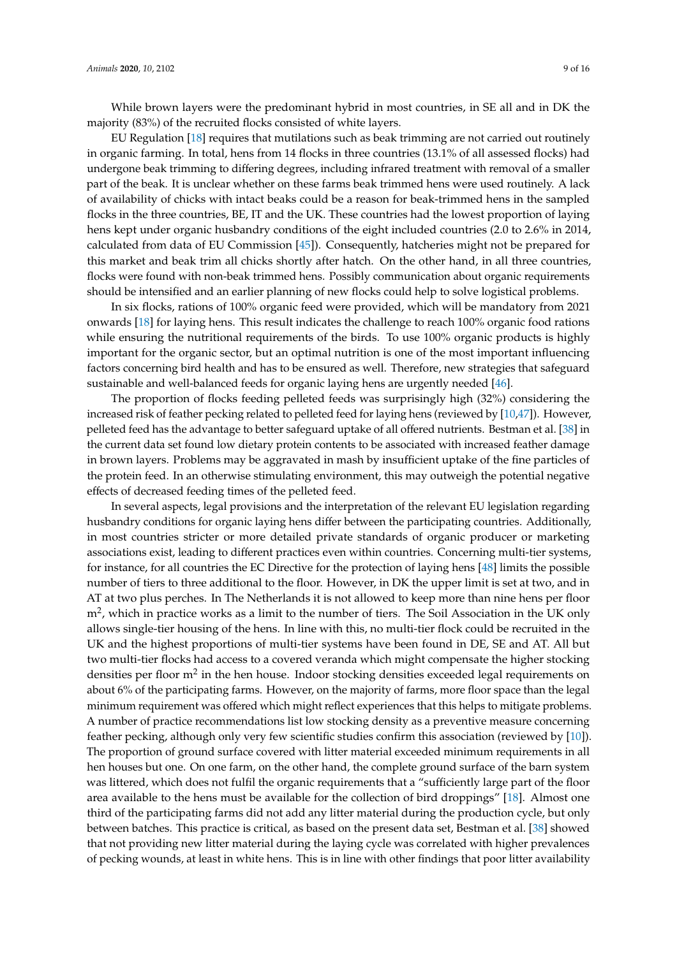While brown layers were the predominant hybrid in most countries, in SE all and in DK the majority (83%) of the recruited flocks consisted of white layers.

EU Regulation [\[18\]](#page-13-3) requires that mutilations such as beak trimming are not carried out routinely in organic farming. In total, hens from 14 flocks in three countries (13.1% of all assessed flocks) had undergone beak trimming to differing degrees, including infrared treatment with removal of a smaller part of the beak. It is unclear whether on these farms beak trimmed hens were used routinely. A lack of availability of chicks with intact beaks could be a reason for beak-trimmed hens in the sampled flocks in the three countries, BE, IT and the UK. These countries had the lowest proportion of laying hens kept under organic husbandry conditions of the eight included countries (2.0 to 2.6% in 2014, calculated from data of EU Commission [\[45\]](#page-14-11)). Consequently, hatcheries might not be prepared for this market and beak trim all chicks shortly after hatch. On the other hand, in all three countries, flocks were found with non-beak trimmed hens. Possibly communication about organic requirements should be intensified and an earlier planning of new flocks could help to solve logistical problems.

In six flocks, rations of 100% organic feed were provided, which will be mandatory from 2021 onwards [\[18\]](#page-13-3) for laying hens. This result indicates the challenge to reach 100% organic food rations while ensuring the nutritional requirements of the birds. To use 100% organic products is highly important for the organic sector, but an optimal nutrition is one of the most important influencing factors concerning bird health and has to be ensured as well. Therefore, new strategies that safeguard sustainable and well-balanced feeds for organic laying hens are urgently needed [\[46\]](#page-14-12).

The proportion of flocks feeding pelleted feeds was surprisingly high (32%) considering the increased risk of feather pecking related to pelleted feed for laying hens (reviewed by [\[10](#page-12-9)[,47\]](#page-14-13)). However, pelleted feed has the advantage to better safeguard uptake of all offered nutrients. Bestman et al. [\[38\]](#page-14-4) in the current data set found low dietary protein contents to be associated with increased feather damage in brown layers. Problems may be aggravated in mash by insufficient uptake of the fine particles of the protein feed. In an otherwise stimulating environment, this may outweigh the potential negative effects of decreased feeding times of the pelleted feed.

In several aspects, legal provisions and the interpretation of the relevant EU legislation regarding husbandry conditions for organic laying hens differ between the participating countries. Additionally, in most countries stricter or more detailed private standards of organic producer or marketing associations exist, leading to different practices even within countries. Concerning multi-tier systems, for instance, for all countries the EC Directive for the protection of laying hens [\[48\]](#page-14-14) limits the possible number of tiers to three additional to the floor. However, in DK the upper limit is set at two, and in AT at two plus perches. In The Netherlands it is not allowed to keep more than nine hens per floor m<sup>2</sup>, which in practice works as a limit to the number of tiers. The Soil Association in the UK only allows single-tier housing of the hens. In line with this, no multi-tier flock could be recruited in the UK and the highest proportions of multi-tier systems have been found in DE, SE and AT. All but two multi-tier flocks had access to a covered veranda which might compensate the higher stocking densities per floor m<sup>2</sup> in the hen house. Indoor stocking densities exceeded legal requirements on about 6% of the participating farms. However, on the majority of farms, more floor space than the legal minimum requirement was offered which might reflect experiences that this helps to mitigate problems. A number of practice recommendations list low stocking density as a preventive measure concerning feather pecking, although only very few scientific studies confirm this association (reviewed by [\[10\]](#page-12-9)). The proportion of ground surface covered with litter material exceeded minimum requirements in all hen houses but one. On one farm, on the other hand, the complete ground surface of the barn system was littered, which does not fulfil the organic requirements that a "sufficiently large part of the floor area available to the hens must be available for the collection of bird droppings" [\[18\]](#page-13-3). Almost one third of the participating farms did not add any litter material during the production cycle, but only between batches. This practice is critical, as based on the present data set, Bestman et al. [\[38\]](#page-14-4) showed that not providing new litter material during the laying cycle was correlated with higher prevalences of pecking wounds, at least in white hens. This is in line with other findings that poor litter availability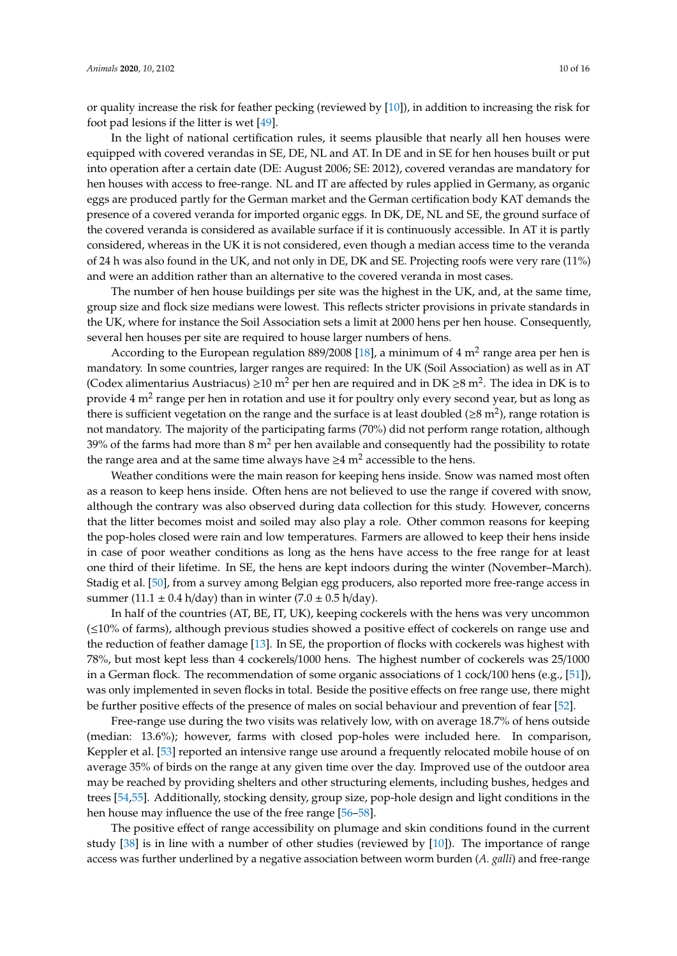or quality increase the risk for feather pecking (reviewed by [\[10\]](#page-12-9)), in addition to increasing the risk for foot pad lesions if the litter is wet [\[49\]](#page-14-15).

In the light of national certification rules, it seems plausible that nearly all hen houses were equipped with covered verandas in SE, DE, NL and AT. In DE and in SE for hen houses built or put into operation after a certain date (DE: August 2006; SE: 2012), covered verandas are mandatory for hen houses with access to free-range. NL and IT are affected by rules applied in Germany, as organic eggs are produced partly for the German market and the German certification body KAT demands the presence of a covered veranda for imported organic eggs. In DK, DE, NL and SE, the ground surface of the covered veranda is considered as available surface if it is continuously accessible. In AT it is partly considered, whereas in the UK it is not considered, even though a median access time to the veranda of 24 h was also found in the UK, and not only in DE, DK and SE. Projecting roofs were very rare (11%) and were an addition rather than an alternative to the covered veranda in most cases.

The number of hen house buildings per site was the highest in the UK, and, at the same time, group size and flock size medians were lowest. This reflects stricter provisions in private standards in the UK, where for instance the Soil Association sets a limit at 2000 hens per hen house. Consequently, several hen houses per site are required to house larger numbers of hens.

According to the European regulation 889/2008 [\[18\]](#page-13-3), a minimum of 4 m<sup>2</sup> range area per hen is mandatory. In some countries, larger ranges are required: In the UK (Soil Association) as well as in AT (Codex alimentarius Austriacus)  $\geq$ 10 m<sup>2</sup> per hen are required and in DK  $\geq$ 8 m<sup>2</sup>. The idea in DK is to provide 4 m $^2$  range per hen in rotation and use it for poultry only every second year, but as long as there is sufficient vegetation on the range and the surface is at least doubled ( $\geq 8$  m<sup>2</sup>), range rotation is not mandatory. The majority of the participating farms (70%) did not perform range rotation, although 39% of the farms had more than 8  $m<sup>2</sup>$  per hen available and consequently had the possibility to rotate the range area and at the same time always have  $\geq 4$  m<sup>2</sup> accessible to the hens.

Weather conditions were the main reason for keeping hens inside. Snow was named most often as a reason to keep hens inside. Often hens are not believed to use the range if covered with snow, although the contrary was also observed during data collection for this study. However, concerns that the litter becomes moist and soiled may also play a role. Other common reasons for keeping the pop-holes closed were rain and low temperatures. Farmers are allowed to keep their hens inside in case of poor weather conditions as long as the hens have access to the free range for at least one third of their lifetime. In SE, the hens are kept indoors during the winter (November–March). Stadig et al. [\[50\]](#page-14-16), from a survey among Belgian egg producers, also reported more free-range access in summer (11.1  $\pm$  0.4 h/day) than in winter (7.0  $\pm$  0.5 h/day).

In half of the countries (AT, BE, IT, UK), keeping cockerels with the hens was very uncommon (≤10% of farms), although previous studies showed a positive effect of cockerels on range use and the reduction of feather damage [\[13\]](#page-12-12). In SE, the proportion of flocks with cockerels was highest with 78%, but most kept less than 4 cockerels/1000 hens. The highest number of cockerels was 25/1000 in a German flock. The recommendation of some organic associations of 1 cock/100 hens (e.g., [\[51\]](#page-14-17)), was only implemented in seven flocks in total. Beside the positive effects on free range use, there might be further positive effects of the presence of males on social behaviour and prevention of fear [\[52\]](#page-14-18).

Free-range use during the two visits was relatively low, with on average 18.7% of hens outside (median: 13.6%); however, farms with closed pop-holes were included here. In comparison, Keppler et al. [\[53\]](#page-14-19) reported an intensive range use around a frequently relocated mobile house of on average 35% of birds on the range at any given time over the day. Improved use of the outdoor area may be reached by providing shelters and other structuring elements, including bushes, hedges and trees [\[54](#page-14-20)[,55\]](#page-15-0). Additionally, stocking density, group size, pop-hole design and light conditions in the hen house may influence the use of the free range [\[56](#page-15-1)[–58\]](#page-15-2).

The positive effect of range accessibility on plumage and skin conditions found in the current study [\[38\]](#page-14-4) is in line with a number of other studies (reviewed by [\[10\]](#page-12-9)). The importance of range access was further underlined by a negative association between worm burden (*A. galli*) and free-range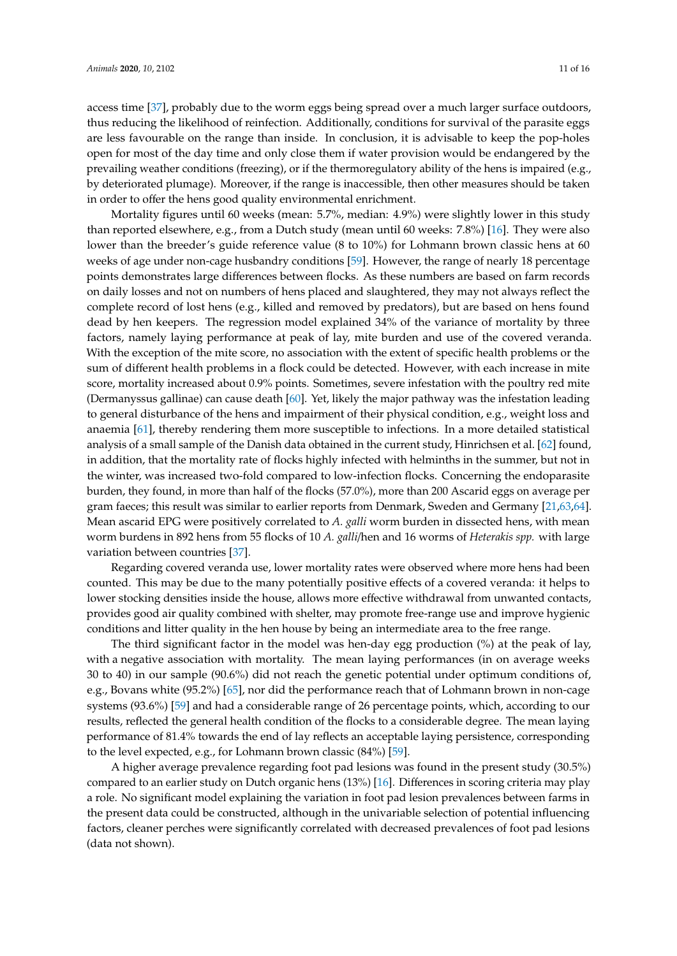access time [\[37\]](#page-14-3), probably due to the worm eggs being spread over a much larger surface outdoors, thus reducing the likelihood of reinfection. Additionally, conditions for survival of the parasite eggs are less favourable on the range than inside. In conclusion, it is advisable to keep the pop-holes open for most of the day time and only close them if water provision would be endangered by the prevailing weather conditions (freezing), or if the thermoregulatory ability of the hens is impaired (e.g., by deteriorated plumage). Moreover, if the range is inaccessible, then other measures should be taken in order to offer the hens good quality environmental enrichment.

Mortality figures until 60 weeks (mean: 5.7%, median: 4.9%) were slightly lower in this study than reported elsewhere, e.g., from a Dutch study (mean until 60 weeks: 7.8%) [\[16\]](#page-13-1). They were also lower than the breeder's guide reference value (8 to 10%) for Lohmann brown classic hens at 60 weeks of age under non-cage husbandry conditions [\[59\]](#page-15-3). However, the range of nearly 18 percentage points demonstrates large differences between flocks. As these numbers are based on farm records on daily losses and not on numbers of hens placed and slaughtered, they may not always reflect the complete record of lost hens (e.g., killed and removed by predators), but are based on hens found dead by hen keepers. The regression model explained 34% of the variance of mortality by three factors, namely laying performance at peak of lay, mite burden and use of the covered veranda. With the exception of the mite score, no association with the extent of specific health problems or the sum of different health problems in a flock could be detected. However, with each increase in mite score, mortality increased about 0.9% points. Sometimes, severe infestation with the poultry red mite (Dermanyssus gallinae) can cause death [\[60\]](#page-15-4). Yet, likely the major pathway was the infestation leading to general disturbance of the hens and impairment of their physical condition, e.g., weight loss and anaemia [\[61\]](#page-15-5), thereby rendering them more susceptible to infections. In a more detailed statistical analysis of a small sample of the Danish data obtained in the current study, Hinrichsen et al. [\[62\]](#page-15-6) found, in addition, that the mortality rate of flocks highly infected with helminths in the summer, but not in the winter, was increased two-fold compared to low-infection flocks. Concerning the endoparasite burden, they found, in more than half of the flocks (57.0%), more than 200 Ascarid eggs on average per gram faeces; this result was similar to earlier reports from Denmark, Sweden and Germany [\[21](#page-13-6)[,63](#page-15-7)[,64\]](#page-15-8). Mean ascarid EPG were positively correlated to *A. galli* worm burden in dissected hens, with mean worm burdens in 892 hens from 55 flocks of 10 *A. galli*/hen and 16 worms of *Heterakis spp.* with large variation between countries [\[37\]](#page-14-3).

Regarding covered veranda use, lower mortality rates were observed where more hens had been counted. This may be due to the many potentially positive effects of a covered veranda: it helps to lower stocking densities inside the house, allows more effective withdrawal from unwanted contacts, provides good air quality combined with shelter, may promote free-range use and improve hygienic conditions and litter quality in the hen house by being an intermediate area to the free range.

The third significant factor in the model was hen-day egg production (%) at the peak of lay, with a negative association with mortality. The mean laying performances (in on average weeks 30 to 40) in our sample (90.6%) did not reach the genetic potential under optimum conditions of, e.g., Bovans white (95.2%) [\[65\]](#page-15-9), nor did the performance reach that of Lohmann brown in non-cage systems (93.6%) [\[59\]](#page-15-3) and had a considerable range of 26 percentage points, which, according to our results, reflected the general health condition of the flocks to a considerable degree. The mean laying performance of 81.4% towards the end of lay reflects an acceptable laying persistence, corresponding to the level expected, e.g., for Lohmann brown classic (84%) [\[59\]](#page-15-3).

A higher average prevalence regarding foot pad lesions was found in the present study (30.5%) compared to an earlier study on Dutch organic hens (13%) [\[16\]](#page-13-1). Differences in scoring criteria may play a role. No significant model explaining the variation in foot pad lesion prevalences between farms in the present data could be constructed, although in the univariable selection of potential influencing factors, cleaner perches were significantly correlated with decreased prevalences of foot pad lesions (data not shown).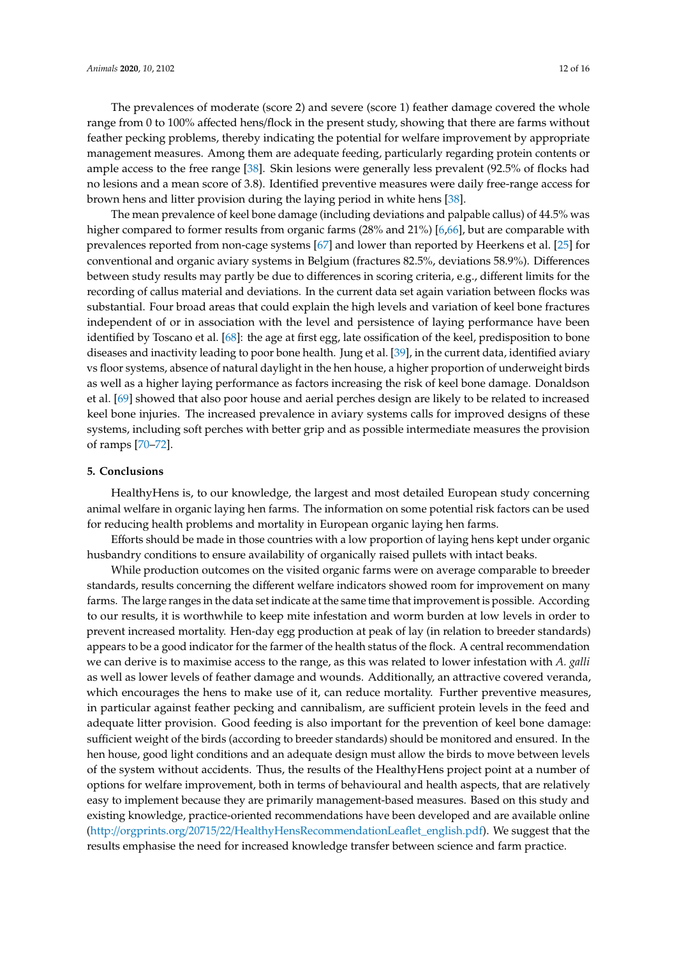The prevalences of moderate (score 2) and severe (score 1) feather damage covered the whole range from 0 to 100% affected hens/flock in the present study, showing that there are farms without feather pecking problems, thereby indicating the potential for welfare improvement by appropriate management measures. Among them are adequate feeding, particularly regarding protein contents or ample access to the free range [\[38\]](#page-14-4). Skin lesions were generally less prevalent (92.5% of flocks had no lesions and a mean score of 3.8). Identified preventive measures were daily free-range access for brown hens and litter provision during the laying period in white hens [\[38\]](#page-14-4).

The mean prevalence of keel bone damage (including deviations and palpable callus) of 44.5% was higher compared to former results from organic farms (28% and 21%) [\[6](#page-12-5)[,66\]](#page-15-10), but are comparable with prevalences reported from non-cage systems [\[67\]](#page-15-11) and lower than reported by Heerkens et al. [\[25\]](#page-13-12) for conventional and organic aviary systems in Belgium (fractures 82.5%, deviations 58.9%). Differences between study results may partly be due to differences in scoring criteria, e.g., different limits for the recording of callus material and deviations. In the current data set again variation between flocks was substantial. Four broad areas that could explain the high levels and variation of keel bone fractures independent of or in association with the level and persistence of laying performance have been identified by Toscano et al. [\[68\]](#page-15-12): the age at first egg, late ossification of the keel, predisposition to bone diseases and inactivity leading to poor bone health. Jung et al. [\[39\]](#page-14-5), in the current data, identified aviary vs floor systems, absence of natural daylight in the hen house, a higher proportion of underweight birds as well as a higher laying performance as factors increasing the risk of keel bone damage. Donaldson et al. [\[69\]](#page-15-13) showed that also poor house and aerial perches design are likely to be related to increased keel bone injuries. The increased prevalence in aviary systems calls for improved designs of these systems, including soft perches with better grip and as possible intermediate measures the provision of ramps [\[70](#page-15-14)[–72\]](#page-15-15).

## **5. Conclusions**

HealthyHens is, to our knowledge, the largest and most detailed European study concerning animal welfare in organic laying hen farms. The information on some potential risk factors can be used for reducing health problems and mortality in European organic laying hen farms.

Efforts should be made in those countries with a low proportion of laying hens kept under organic husbandry conditions to ensure availability of organically raised pullets with intact beaks.

While production outcomes on the visited organic farms were on average comparable to breeder standards, results concerning the different welfare indicators showed room for improvement on many farms. The large ranges in the data set indicate at the same time that improvement is possible. According to our results, it is worthwhile to keep mite infestation and worm burden at low levels in order to prevent increased mortality. Hen-day egg production at peak of lay (in relation to breeder standards) appears to be a good indicator for the farmer of the health status of the flock. A central recommendation we can derive is to maximise access to the range, as this was related to lower infestation with *A. galli* as well as lower levels of feather damage and wounds. Additionally, an attractive covered veranda, which encourages the hens to make use of it, can reduce mortality. Further preventive measures, in particular against feather pecking and cannibalism, are sufficient protein levels in the feed and adequate litter provision. Good feeding is also important for the prevention of keel bone damage: sufficient weight of the birds (according to breeder standards) should be monitored and ensured. In the hen house, good light conditions and an adequate design must allow the birds to move between levels of the system without accidents. Thus, the results of the HealthyHens project point at a number of options for welfare improvement, both in terms of behavioural and health aspects, that are relatively easy to implement because they are primarily management-based measures. Based on this study and existing knowledge, practice-oriented recommendations have been developed and are available online (http://orgprints.org/20715/22/[HealthyHensRecommendationLeaflet\\_english.pdf\)](http://orgprints.org/20715/22/HealthyHensRecommendationLeaflet_english.pdf). We suggest that the results emphasise the need for increased knowledge transfer between science and farm practice.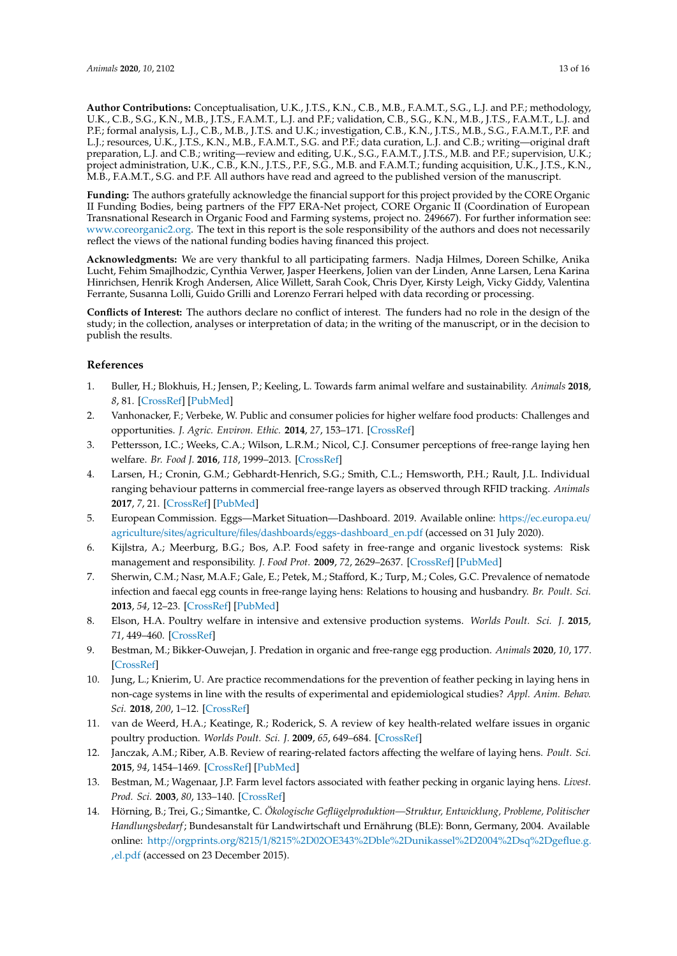**Author Contributions:** Conceptualisation, U.K., J.T.S., K.N., C.B., M.B., F.A.M.T., S.G., L.J. and P.F.; methodology, U.K., C.B., S.G., K.N., M.B., J.T.S., F.A.M.T., L.J. and P.F.; validation, C.B., S.G., K.N., M.B., J.T.S., F.A.M.T., L.J. and P.F.; formal analysis, L.J., C.B., M.B., J.T.S. and U.K.; investigation, C.B., K.N., J.T.S., M.B., S.G., F.A.M.T., P.F. and L.J.; resources, U.K., J.T.S., K.N., M.B., F.A.M.T., S.G. and P.F.; data curation, L.J. and C.B.; writing—original draft preparation, L.J. and C.B.; writing—review and editing, U.K., S.G., F.A.M.T., J.T.S., M.B. and P.F.; supervision, U.K.; project administration, U.K., C.B., K.N., J.T.S., P.F., S.G., M.B. and F.A.M.T.; funding acquisition, U.K., J.T.S., K.N., M.B., F.A.M.T., S.G. and P.F. All authors have read and agreed to the published version of the manuscript.

**Funding:** The authors gratefully acknowledge the financial support for this project provided by the CORE Organic II Funding Bodies, being partners of the FP7 ERA-Net project, CORE Organic II (Coordination of European Transnational Research in Organic Food and Farming systems, project no. 249667). For further information see: [www.coreorganic2.org.](www.coreorganic2.org) The text in this report is the sole responsibility of the authors and does not necessarily reflect the views of the national funding bodies having financed this project.

**Acknowledgments:** We are very thankful to all participating farmers. Nadja Hilmes, Doreen Schilke, Anika Lucht, Fehim Smajlhodzic, Cynthia Verwer, Jasper Heerkens, Jolien van der Linden, Anne Larsen, Lena Karina Hinrichsen, Henrik Krogh Andersen, Alice Willett, Sarah Cook, Chris Dyer, Kirsty Leigh, Vicky Giddy, Valentina Ferrante, Susanna Lolli, Guido Grilli and Lorenzo Ferrari helped with data recording or processing.

**Conflicts of Interest:** The authors declare no conflict of interest. The funders had no role in the design of the study; in the collection, analyses or interpretation of data; in the writing of the manuscript, or in the decision to publish the results.

#### **References**

- <span id="page-12-0"></span>1. Buller, H.; Blokhuis, H.; Jensen, P.; Keeling, L. Towards farm animal welfare and sustainability. *Animals* **2018**, *8*, 81. [\[CrossRef\]](http://dx.doi.org/10.3390/ani8060081) [\[PubMed\]](http://www.ncbi.nlm.nih.gov/pubmed/29799456)
- <span id="page-12-1"></span>2. Vanhonacker, F.; Verbeke, W. Public and consumer policies for higher welfare food products: Challenges and opportunities. *J. Agric. Environ. Ethic.* **2014**, *27*, 153–171. [\[CrossRef\]](http://dx.doi.org/10.1007/s10806-013-9479-2)
- <span id="page-12-2"></span>3. Pettersson, I.C.; Weeks, C.A.; Wilson, L.R.M.; Nicol, C.J. Consumer perceptions of free-range laying hen welfare. *Br. Food J.* **2016**, *118*, 1999–2013. [\[CrossRef\]](http://dx.doi.org/10.1108/BFJ-02-2016-0065)
- <span id="page-12-3"></span>4. Larsen, H.; Cronin, G.M.; Gebhardt-Henrich, S.G.; Smith, C.L.; Hemsworth, P.H.; Rault, J.L. Individual ranging behaviour patterns in commercial free-range layers as observed through RFID tracking. *Animals* **2017**, *7*, 21. [\[CrossRef\]](http://dx.doi.org/10.3390/ani7030021) [\[PubMed\]](http://www.ncbi.nlm.nih.gov/pubmed/28282909)
- <span id="page-12-4"></span>5. European Commission. Eggs—Market Situation—Dashboard. 2019. Available online: https://[ec.europa.eu](https://ec.europa.eu/agriculture/sites/agriculture/files/dashboards/eggs-dashboard_en.pdf)/ agriculture/sites/agriculture/files/dashboards/[eggs-dashboard\\_en.pdf](https://ec.europa.eu/agriculture/sites/agriculture/files/dashboards/eggs-dashboard_en.pdf) (accessed on 31 July 2020).
- <span id="page-12-5"></span>6. Kijlstra, A.; Meerburg, B.G.; Bos, A.P. Food safety in free-range and organic livestock systems: Risk management and responsibility. *J. Food Prot.* **2009**, *72*, 2629–2637. [\[CrossRef\]](http://dx.doi.org/10.4315/0362-028X-72.12.2629) [\[PubMed\]](http://www.ncbi.nlm.nih.gov/pubmed/20003752)
- <span id="page-12-6"></span>7. Sherwin, C.M.; Nasr, M.A.F.; Gale, E.; Petek, M.; Stafford, K.; Turp, M.; Coles, G.C. Prevalence of nematode infection and faecal egg counts in free-range laying hens: Relations to housing and husbandry. *Br. Poult. Sci.* **2013**, *54*, 12–23. [\[CrossRef\]](http://dx.doi.org/10.1080/00071668.2012.757577) [\[PubMed\]](http://www.ncbi.nlm.nih.gov/pubmed/23444850)
- <span id="page-12-7"></span>8. Elson, H.A. Poultry welfare in intensive and extensive production systems. *Worlds Poult. Sci. J.* **2015**, *71*, 449–460. [\[CrossRef\]](http://dx.doi.org/10.1017/S0043933915002172)
- <span id="page-12-8"></span>9. Bestman, M.; Bikker-Ouwejan, J. Predation in organic and free-range egg production. *Animals* **2020**, *10*, 177. [\[CrossRef\]](http://dx.doi.org/10.3390/ani10020177)
- <span id="page-12-9"></span>10. Jung, L.; Knierim, U. Are practice recommendations for the prevention of feather pecking in laying hens in non-cage systems in line with the results of experimental and epidemiological studies? *Appl. Anim. Behav. Sci.* **2018**, *200*, 1–12. [\[CrossRef\]](http://dx.doi.org/10.1016/j.applanim.2017.10.005)
- <span id="page-12-10"></span>11. van de Weerd, H.A.; Keatinge, R.; Roderick, S. A review of key health-related welfare issues in organic poultry production. *Worlds Poult. Sci. J.* **2009**, *65*, 649–684. [\[CrossRef\]](http://dx.doi.org/10.1017/S0043933909000464)
- <span id="page-12-11"></span>12. Janczak, A.M.; Riber, A.B. Review of rearing-related factors affecting the welfare of laying hens. *Poult. Sci.* **2015**, *94*, 1454–1469. [\[CrossRef\]](http://dx.doi.org/10.3382/ps/pev123) [\[PubMed\]](http://www.ncbi.nlm.nih.gov/pubmed/26009752)
- <span id="page-12-12"></span>13. Bestman, M.; Wagenaar, J.P. Farm level factors associated with feather pecking in organic laying hens. *Livest. Prod. Sci.* **2003**, *80*, 133–140. [\[CrossRef\]](http://dx.doi.org/10.1016/S0301-6226(02)00314-7)
- <span id="page-12-13"></span>14. Hörning, B.; Trei, G.; Simantke, C. *Ökologische Geflügelproduktion—Struktur, Entwicklung, Probleme, Politischer Handlungsbedarf*; Bundesanstalt für Landwirtschaft und Ernährung (BLE): Bonn, Germany, 2004. Available online: http://orgprints.org/8215/1/[8215%2D02OE343%2Dble%2Dunikassel%2D2004%2Dsq%2Dgeflue.g.](http://orgprints.org/8215/1/8215%2D02OE343%2Dble%2Dunikassel%2D2004%2Dsq%2Dgeflue.g.,el.pdf) [,el.pdf](http://orgprints.org/8215/1/8215%2D02OE343%2Dble%2Dunikassel%2D2004%2Dsq%2Dgeflue.g.,el.pdf) (accessed on 23 December 2015).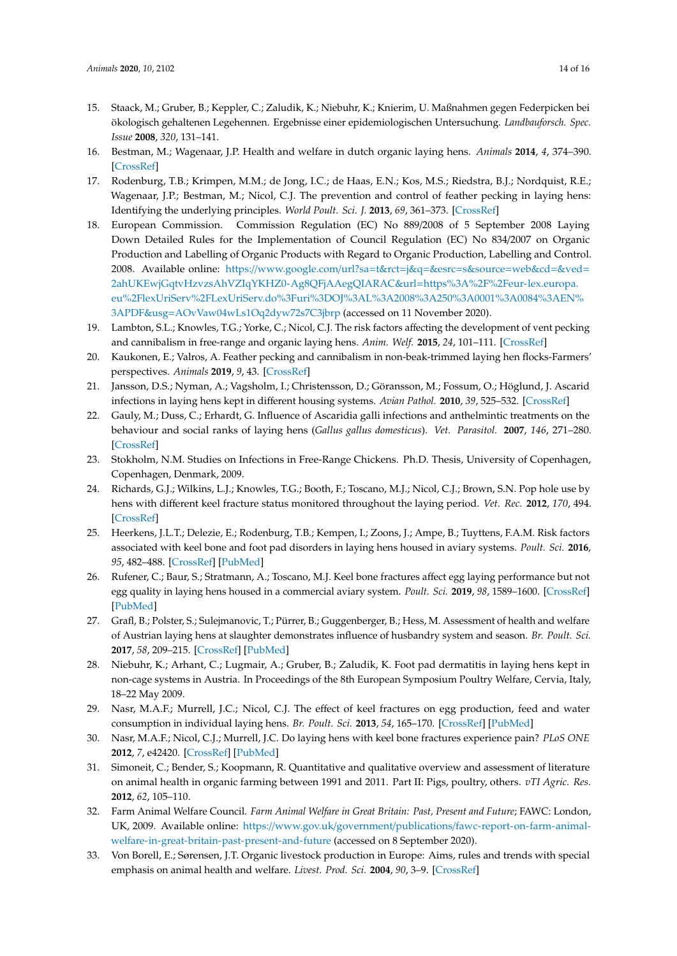- <span id="page-13-0"></span>15. Staack, M.; Gruber, B.; Keppler, C.; Zaludik, K.; Niebuhr, K.; Knierim, U. Maßnahmen gegen Federpicken bei ökologisch gehaltenen Legehennen. Ergebnisse einer epidemiologischen Untersuchung. *Landbauforsch. Spec. Issue* **2008**, *320*, 131–141.
- <span id="page-13-1"></span>16. Bestman, M.; Wagenaar, J.P. Health and welfare in dutch organic laying hens. *Animals* **2014**, *4*, 374–390. [\[CrossRef\]](http://dx.doi.org/10.3390/ani4020374)
- <span id="page-13-2"></span>17. Rodenburg, T.B.; Krimpen, M.M.; de Jong, I.C.; de Haas, E.N.; Kos, M.S.; Riedstra, B.J.; Nordquist, R.E.; Wagenaar, J.P.; Bestman, M.; Nicol, C.J. The prevention and control of feather pecking in laying hens: Identifying the underlying principles. *World Poult. Sci. J.* **2013**, *69*, 361–373. [\[CrossRef\]](http://dx.doi.org/10.1017/S0043933913000354)
- <span id="page-13-3"></span>18. European Commission. Commission Regulation (EC) No 889/2008 of 5 September 2008 Laying Down Detailed Rules for the Implementation of Council Regulation (EC) No 834/2007 on Organic Production and Labelling of Organic Products with Regard to Organic Production, Labelling and Control. 2008. Available online: https://[www.google.com](https://www.google.com/url?sa=t&rct=j&q=&esrc=s&source=web&cd=&ved=2ahUKEwjGqtvHzvzsAhVZIqYKHZ0-Ag8QFjAAegQIARAC&url=https%3A%2F%2Feur-lex.europa.eu%2FlexUriServ%2FLexUriServ.do%3Furi%3DOJ%3AL%3A2008%3A250%3A0001%3A0084%3AEN%3APDF&usg=AOvVaw04wLs1Oq2dyw72s7C3jbrp)/url?sa=t&rct=j&q=&esrc=s&source=web&cd=&ved= [2ahUKEwjGqtvHzvzsAhVZIqYKHZ0-Ag8QFjAAegQIARAC&url](https://www.google.com/url?sa=t&rct=j&q=&esrc=s&source=web&cd=&ved=2ahUKEwjGqtvHzvzsAhVZIqYKHZ0-Ag8QFjAAegQIARAC&url=https%3A%2F%2Feur-lex.europa.eu%2FlexUriServ%2FLexUriServ.do%3Furi%3DOJ%3AL%3A2008%3A250%3A0001%3A0084%3AEN%3APDF&usg=AOvVaw04wLs1Oq2dyw72s7C3jbrp)=https%3A%2F%2Feur-lex.europa. [eu%2FlexUriServ%2FLexUriServ.do%3Furi%3DOJ%3AL%3A2008%3A250%3A0001%3A0084%3AEN%](https://www.google.com/url?sa=t&rct=j&q=&esrc=s&source=web&cd=&ved=2ahUKEwjGqtvHzvzsAhVZIqYKHZ0-Ag8QFjAAegQIARAC&url=https%3A%2F%2Feur-lex.europa.eu%2FlexUriServ%2FLexUriServ.do%3Furi%3DOJ%3AL%3A2008%3A250%3A0001%3A0084%3AEN%3APDF&usg=AOvVaw04wLs1Oq2dyw72s7C3jbrp) 3APDF&usg=[AOvVaw04wLs1Oq2dyw72s7C3jbrp](https://www.google.com/url?sa=t&rct=j&q=&esrc=s&source=web&cd=&ved=2ahUKEwjGqtvHzvzsAhVZIqYKHZ0-Ag8QFjAAegQIARAC&url=https%3A%2F%2Feur-lex.europa.eu%2FlexUriServ%2FLexUriServ.do%3Furi%3DOJ%3AL%3A2008%3A250%3A0001%3A0084%3AEN%3APDF&usg=AOvVaw04wLs1Oq2dyw72s7C3jbrp) (accessed on 11 November 2020).
- <span id="page-13-4"></span>19. Lambton, S.L.; Knowles, T.G.; Yorke, C.; Nicol, C.J. The risk factors affecting the development of vent pecking and cannibalism in free-range and organic laying hens. *Anim. Welf.* **2015**, *24*, 101–111. [\[CrossRef\]](http://dx.doi.org/10.7120/09627286.24.1.101)
- <span id="page-13-5"></span>20. Kaukonen, E.; Valros, A. Feather pecking and cannibalism in non-beak-trimmed laying hen flocks-Farmers' perspectives. *Animals* **2019**, *9*, 43. [\[CrossRef\]](http://dx.doi.org/10.3390/ani9020043)
- <span id="page-13-6"></span>21. Jansson, D.S.; Nyman, A.; Vagsholm, I.; Christensson, D.; Göransson, M.; Fossum, O.; Höglund, J. Ascarid infections in laying hens kept in different housing systems. *Avian Pathol.* **2010**, *39*, 525–532. [\[CrossRef\]](http://dx.doi.org/10.1080/03079457.2010.527923)
- <span id="page-13-7"></span>22. Gauly, M.; Duss, C.; Erhardt, G. Influence of Ascaridia galli infections and anthelmintic treatments on the behaviour and social ranks of laying hens (*Gallus gallus domesticus*). *Vet. Parasitol.* **2007**, *146*, 271–280. [\[CrossRef\]](http://dx.doi.org/10.1016/j.vetpar.2007.03.005)
- <span id="page-13-8"></span>23. Stokholm, N.M. Studies on Infections in Free-Range Chickens. Ph.D. Thesis, University of Copenhagen, Copenhagen, Denmark, 2009.
- <span id="page-13-9"></span>24. Richards, G.J.; Wilkins, L.J.; Knowles, T.G.; Booth, F.; Toscano, M.J.; Nicol, C.J.; Brown, S.N. Pop hole use by hens with different keel fracture status monitored throughout the laying period. *Vet. Rec.* **2012**, *170*, 494. [\[CrossRef\]](http://dx.doi.org/10.1136/vr.100489)
- <span id="page-13-12"></span>25. Heerkens, J.L.T.; Delezie, E.; Rodenburg, T.B.; Kempen, I.; Zoons, J.; Ampe, B.; Tuyttens, F.A.M. Risk factors associated with keel bone and foot pad disorders in laying hens housed in aviary systems. *Poult. Sci.* **2016**, *95*, 482–488. [\[CrossRef\]](http://dx.doi.org/10.3382/ps/pev339) [\[PubMed\]](http://www.ncbi.nlm.nih.gov/pubmed/26628344)
- <span id="page-13-10"></span>26. Rufener, C.; Baur, S.; Stratmann, A.; Toscano, M.J. Keel bone fractures affect egg laying performance but not egg quality in laying hens housed in a commercial aviary system. *Poult. Sci.* **2019**, *98*, 1589–1600. [\[CrossRef\]](http://dx.doi.org/10.3382/ps/pey544) [\[PubMed\]](http://www.ncbi.nlm.nih.gov/pubmed/30481360)
- <span id="page-13-11"></span>27. Grafl, B.; Polster, S.; Sulejmanovic, T.; Pürrer, B.; Guggenberger, B.; Hess, M. Assessment of health and welfare of Austrian laying hens at slaughter demonstrates influence of husbandry system and season. *Br. Poult. Sci.* **2017**, *58*, 209–215. [\[CrossRef\]](http://dx.doi.org/10.1080/00071668.2017.1280723) [\[PubMed\]](http://www.ncbi.nlm.nih.gov/pubmed/28084805)
- <span id="page-13-13"></span>28. Niebuhr, K.; Arhant, C.; Lugmair, A.; Gruber, B.; Zaludik, K. Foot pad dermatitis in laying hens kept in non-cage systems in Austria. In Proceedings of the 8th European Symposium Poultry Welfare, Cervia, Italy, 18–22 May 2009.
- <span id="page-13-14"></span>29. Nasr, M.A.F.; Murrell, J.C.; Nicol, C.J. The effect of keel fractures on egg production, feed and water consumption in individual laying hens. *Br. Poult. Sci.* **2013**, *54*, 165–170. [\[CrossRef\]](http://dx.doi.org/10.1080/00071668.2013.767437) [\[PubMed\]](http://www.ncbi.nlm.nih.gov/pubmed/23647178)
- <span id="page-13-15"></span>30. Nasr, M.A.F.; Nicol, C.J.; Murrell, J.C. Do laying hens with keel bone fractures experience pain? *PLoS ONE* **2012**, *7*, e42420. [\[CrossRef\]](http://dx.doi.org/10.1371/journal.pone.0042420) [\[PubMed\]](http://www.ncbi.nlm.nih.gov/pubmed/22927930)
- <span id="page-13-16"></span>31. Simoneit, C.; Bender, S.; Koopmann, R. Quantitative and qualitative overview and assessment of literature on animal health in organic farming between 1991 and 2011. Part II: Pigs, poultry, others. *vTI Agric. Res.* **2012**, *62*, 105–110.
- <span id="page-13-17"></span>32. Farm Animal Welfare Council. *Farm Animal Welfare in Great Britain: Past, Present and Future*; FAWC: London, UK, 2009. Available online: https://www.gov.uk/government/publications/[fawc-report-on-farm-animal](https://www.gov.uk/government/publications/fawc-report-on-farm-animal-welfare-in-great-britain-past-present-and-future)[welfare-in-great-britain-past-present-and-future](https://www.gov.uk/government/publications/fawc-report-on-farm-animal-welfare-in-great-britain-past-present-and-future) (accessed on 8 September 2020).
- <span id="page-13-18"></span>33. Von Borell, E.; Sørensen, J.T. Organic livestock production in Europe: Aims, rules and trends with special emphasis on animal health and welfare. *Livest. Prod. Sci.* **2004**, *90*, 3–9. [\[CrossRef\]](http://dx.doi.org/10.1016/j.livprodsci.2004.07.003)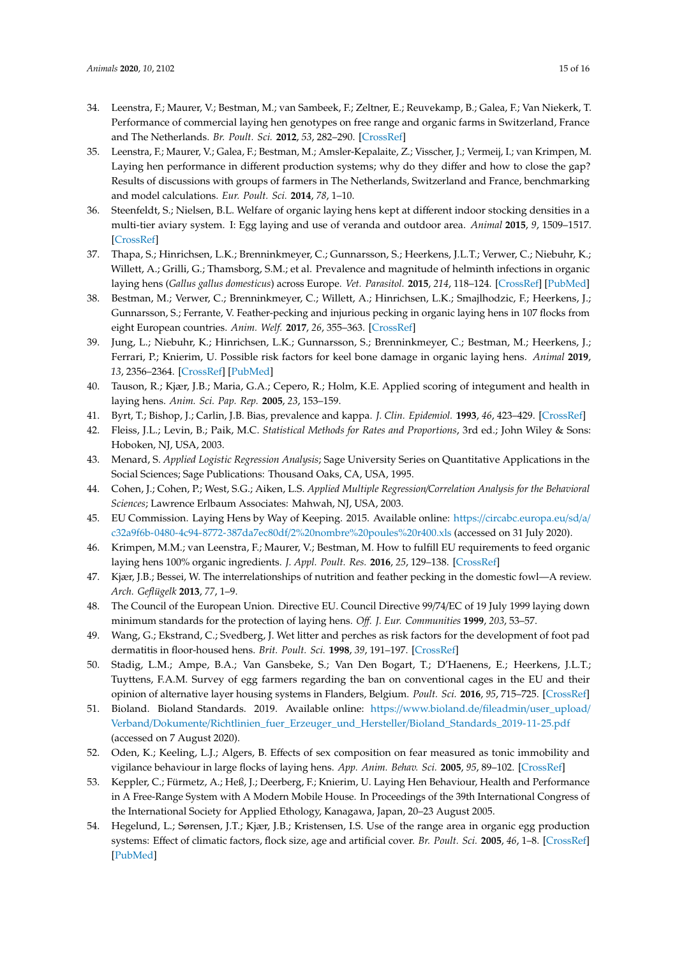- <span id="page-14-0"></span>34. Leenstra, F.; Maurer, V.; Bestman, M.; van Sambeek, F.; Zeltner, E.; Reuvekamp, B.; Galea, F.; Van Niekerk, T. Performance of commercial laying hen genotypes on free range and organic farms in Switzerland, France and The Netherlands. *Br. Poult. Sci.* **2012**, *53*, 282–290. [\[CrossRef\]](http://dx.doi.org/10.1080/00071668.2012.703774)
- <span id="page-14-1"></span>35. Leenstra, F.; Maurer, V.; Galea, F.; Bestman, M.; Amsler-Kepalaite, Z.; Visscher, J.; Vermeij, I.; van Krimpen, M. Laying hen performance in different production systems; why do they differ and how to close the gap? Results of discussions with groups of farmers in The Netherlands, Switzerland and France, benchmarking and model calculations. *Eur. Poult. Sci.* **2014**, *78*, 1–10.
- <span id="page-14-2"></span>36. Steenfeldt, S.; Nielsen, B.L. Welfare of organic laying hens kept at different indoor stocking densities in a multi-tier aviary system. I: Egg laying and use of veranda and outdoor area. *Animal* **2015**, *9*, 1509–1517. [\[CrossRef\]](http://dx.doi.org/10.1017/S1751731115000713)
- <span id="page-14-3"></span>37. Thapa, S.; Hinrichsen, L.K.; Brenninkmeyer, C.; Gunnarsson, S.; Heerkens, J.L.T.; Verwer, C.; Niebuhr, K.; Willett, A.; Grilli, G.; Thamsborg, S.M.; et al. Prevalence and magnitude of helminth infections in organic laying hens (*Gallus gallus domesticus*) across Europe. *Vet. Parasitol.* **2015**, *214*, 118–124. [\[CrossRef\]](http://dx.doi.org/10.1016/j.vetpar.2015.10.009) [\[PubMed\]](http://www.ncbi.nlm.nih.gov/pubmed/26518645)
- <span id="page-14-4"></span>38. Bestman, M.; Verwer, C.; Brenninkmeyer, C.; Willett, A.; Hinrichsen, L.K.; Smajlhodzic, F.; Heerkens, J.; Gunnarsson, S.; Ferrante, V. Feather-pecking and injurious pecking in organic laying hens in 107 flocks from eight European countries. *Anim. Welf.* **2017**, *26*, 355–363. [\[CrossRef\]](http://dx.doi.org/10.7120/09627286.26.3.355)
- <span id="page-14-5"></span>39. Jung, L.; Niebuhr, K.; Hinrichsen, L.K.; Gunnarsson, S.; Brenninkmeyer, C.; Bestman, M.; Heerkens, J.; Ferrari, P.; Knierim, U. Possible risk factors for keel bone damage in organic laying hens. *Animal* **2019**, *13*, 2356–2364. [\[CrossRef\]](http://dx.doi.org/10.1017/S175173111900003X) [\[PubMed\]](http://www.ncbi.nlm.nih.gov/pubmed/30808429)
- <span id="page-14-6"></span>40. Tauson, R.; Kjær, J.B.; Maria, G.A.; Cepero, R.; Holm, K.E. Applied scoring of integument and health in laying hens. *Anim. Sci. Pap. Rep.* **2005**, *23*, 153–159.
- <span id="page-14-7"></span>41. Byrt, T.; Bishop, J.; Carlin, J.B. Bias, prevalence and kappa. *J. Clin. Epidemiol.* **1993**, *46*, 423–429. [\[CrossRef\]](http://dx.doi.org/10.1016/0895-4356(93)90018-V)
- <span id="page-14-8"></span>42. Fleiss, J.L.; Levin, B.; Paik, M.C. *Statistical Methods for Rates and Proportions*, 3rd ed.; John Wiley & Sons: Hoboken, NJ, USA, 2003.
- <span id="page-14-9"></span>43. Menard, S. *Applied Logistic Regression Analysis*; Sage University Series on Quantitative Applications in the Social Sciences; Sage Publications: Thousand Oaks, CA, USA, 1995.
- <span id="page-14-10"></span>44. Cohen, J.; Cohen, P.; West, S.G.; Aiken, L.S. *Applied Multiple Regression*/*Correlation Analysis for the Behavioral Sciences*; Lawrence Erlbaum Associates: Mahwah, NJ, USA, 2003.
- <span id="page-14-11"></span>45. EU Commission. Laying Hens by Way of Keeping. 2015. Available online: https://[circabc.europa.eu](https://circabc.europa.eu/sd/a/c32a9f6b-0480-4c94-8772-387da7ec80df/2%20nombre%20poules%20r400.xls)/sd/a/ [c32a9f6b-0480-4c94-8772-387da7ec80df](https://circabc.europa.eu/sd/a/c32a9f6b-0480-4c94-8772-387da7ec80df/2%20nombre%20poules%20r400.xls)/2%20nombre%20poules%20r400.xls (accessed on 31 July 2020).
- <span id="page-14-12"></span>46. Krimpen, M.M.; van Leenstra, F.; Maurer, V.; Bestman, M. How to fulfill EU requirements to feed organic laying hens 100% organic ingredients. *J. Appl. Poult. Res.* **2016**, *25*, 129–138. [\[CrossRef\]](http://dx.doi.org/10.3382/japr/pfv048)
- <span id="page-14-13"></span>47. Kjær, J.B.; Bessei, W. The interrelationships of nutrition and feather pecking in the domestic fowl—A review. *Arch. Geflügelk* **2013**, *77*, 1–9.
- <span id="page-14-14"></span>48. The Council of the European Union. Directive EU. Council Directive 99/74/EC of 19 July 1999 laying down minimum standards for the protection of laying hens. *O*ff*. J. Eur. Communities* **1999**, *203*, 53–57.
- <span id="page-14-15"></span>49. Wang, G.; Ekstrand, C.; Svedberg, J. Wet litter and perches as risk factors for the development of foot pad dermatitis in floor-housed hens. *Brit. Poult. Sci.* **1998**, *39*, 191–197. [\[CrossRef\]](http://dx.doi.org/10.1080/00071669889114)
- <span id="page-14-16"></span>50. Stadig, L.M.; Ampe, B.A.; Van Gansbeke, S.; Van Den Bogart, T.; D'Haenens, E.; Heerkens, J.L.T.; Tuyttens, F.A.M. Survey of egg farmers regarding the ban on conventional cages in the EU and their opinion of alternative layer housing systems in Flanders, Belgium. *Poult. Sci.* **2016**, *95*, 715–725. [\[CrossRef\]](http://dx.doi.org/10.3382/ps/pev334)
- <span id="page-14-17"></span>51. Bioland. Bioland Standards. 2019. Available online: https://[www.bioland.de](https://www.bioland.de/fileadmin/user_upload/Verband/Dokumente/Richtlinien_fuer_Erzeuger_und_Hersteller/Bioland_Standards_2019-11-25.pdf)/fileadmin/user\_upload/ Verband/Dokumente/[Richtlinien\\_fuer\\_Erzeuger\\_und\\_Hersteller](https://www.bioland.de/fileadmin/user_upload/Verband/Dokumente/Richtlinien_fuer_Erzeuger_und_Hersteller/Bioland_Standards_2019-11-25.pdf)/Bioland\_Standards\_2019-11-25.pdf (accessed on 7 August 2020).
- <span id="page-14-18"></span>52. Oden, K.; Keeling, L.J.; Algers, B. Effects of sex composition on fear measured as tonic immobility and vigilance behaviour in large flocks of laying hens. *App. Anim. Behav. Sci.* **2005**, *95*, 89–102. [\[CrossRef\]](http://dx.doi.org/10.1016/j.applanim.2005.03.003)
- <span id="page-14-19"></span>53. Keppler, C.; Fürmetz, A.; Heß, J.; Deerberg, F.; Knierim, U. Laying Hen Behaviour, Health and Performance in A Free-Range System with A Modern Mobile House. In Proceedings of the 39th International Congress of the International Society for Applied Ethology, Kanagawa, Japan, 20–23 August 2005.
- <span id="page-14-20"></span>54. Hegelund, L.; Sørensen, J.T.; Kjær, J.B.; Kristensen, I.S. Use of the range area in organic egg production systems: Effect of climatic factors, flock size, age and artificial cover. *Br. Poult. Sci.* **2005**, *46*, 1–8. [\[CrossRef\]](http://dx.doi.org/10.1080/00071660400023813) [\[PubMed\]](http://www.ncbi.nlm.nih.gov/pubmed/15835245)